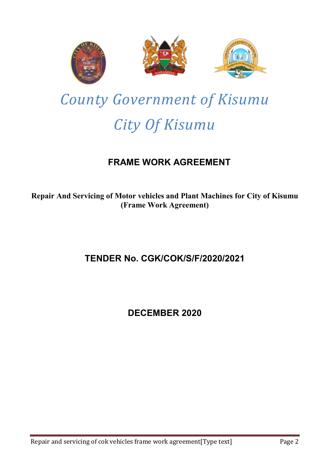

# *County Government of Kisumu City Of Kisumu*

# FRAME WORK AGREEMENT

Repair And Servicing of Motor vehicles and Plant Machines for City of Kisumu (Frame Work Agreement)

## TENDER No. CGK/COK/S/F/2020/2021

### DECEMBER 2020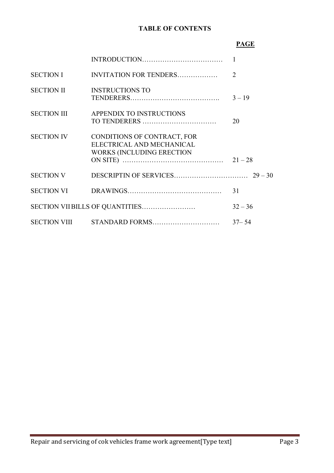### TABLE OF CONTENTS

### PAGE

| <b>SECTION I</b>   | INVITATION FOR TENDERS                                                                       | $\overline{2}$ |
|--------------------|----------------------------------------------------------------------------------------------|----------------|
| <b>SECTION II</b>  | <b>INSTRUCTIONS TO</b>                                                                       | $3 - 19$       |
| <b>SECTION III</b> | APPENDIX TO INSTRUCTIONS                                                                     | 20             |
| <b>SECTION IV</b>  | CONDITIONS OF CONTRACT, FOR<br>ELECTRICAL AND MECHANICAL<br><b>WORKS (INCLUDING ERECTION</b> |                |
| <b>SECTION V</b>   |                                                                                              |                |
|                    |                                                                                              | 31             |
|                    |                                                                                              | $32 - 36$      |
|                    |                                                                                              | $37 - 54$      |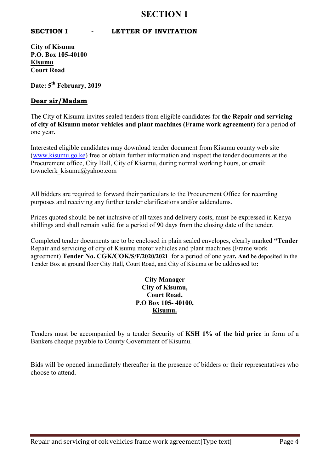### SECTION 1

### SECTION I - LETTER OF INVITATION

City of Kisumu P.O. Box 105-40100 Kisumu Court Road

Date: 5<sup>th</sup> February, 2019

### Dear sir/Madam

The City of Kisumu invites sealed tenders from eligible candidates for the Repair and servicing of city of Kisumu motor vehicles and plant machines (Frame work agreement) for a period of one year.

Interested eligible candidates may download tender document from Kisumu county web site [\(www.kisumu.go.ke](http://www.kisumu.go.ke/)) free or obtain further information and inspect the tender documents at the Procurement office, City Hall, City of Kisumu, during normal working hours, or email: townclerk\_kisumu@yahoo.com

All bidders are required to forward their particulars to the Procurement Office for recording purposes and receiving any further tender clarifications and/or addendums.

Prices quoted should be net inclusive of all taxes and delivery costs, must be expressed in Kenya shillings and shall remain valid for a period of 90 days from the closing date of the tender.

Completed tender documents are to be enclosed in plain sealed envelopes, clearly marked "Tender Repair and servicing of city of Kisumu motor vehicles and plant machines (Frame work agreement) Tender No. CGK/COK/S/F/2020/2021 for a period of one year. And be deposited in the Tender Box at ground floor City Hall, Court Road, and City of Kisumu or be addressed to:

### City Manager City of Kisumu, Court Road, P.O Box 105- 40100, Kisumu.

Tenders must be accompanied by a tender Security of KSH 1% of the bid price in form of a Bankers cheque payable to County Government of Kisumu.

Bids will be opened immediately thereafter in the presence of bidders or their representatives who choose to attend.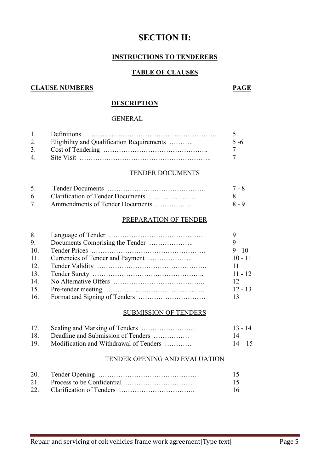### SECTION II:

### INSTRUCTIONS TO TENDERERS

### TABLE OF CLAUSES

### **CLAUSE NUMBERS PAGE**

### **DESCRIPTION**

#### **GENERAL**

|             | 2. Eligibility and Qualification Requirements | $5 - 6$ |
|-------------|-----------------------------------------------|---------|
|             |                                               |         |
| $\mathbf 4$ |                                               |         |

#### TENDER DOCUMENTS

|                                 | 7 - 8   |
|---------------------------------|---------|
|                                 |         |
| Ammendments of Tender Documents | $8 - 9$ |

### PREPARATION OF TENDER

| 8.  |           |
|-----|-----------|
| 9.  |           |
| 10. | $9 - 10$  |
| 11. | $10 - 11$ |
| 12. | 11        |
| 13. | $11 - 12$ |
| 14. | 12        |
| 15. | $12 - 13$ |
| 16. | 13        |

#### SUBMISSION OF TENDERS

| 17.             |                                        | $13 - 14$ |
|-----------------|----------------------------------------|-----------|
| 18.             | Deadline and Submission of Tenders     | 14        |
| 19 <sub>1</sub> | Modification and Withdrawal of Tenders | $14 - 15$ |

### TENDER OPENING AND EVALUATION

|  | 16. |
|--|-----|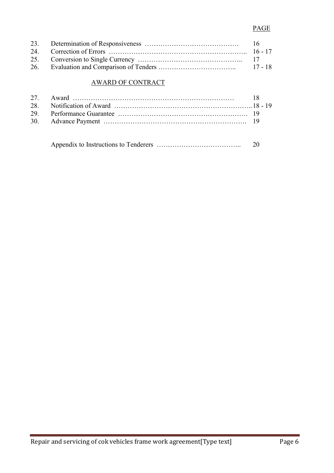### PAGE

### AWARD OF CONTRACT

|  | 20 |
|--|----|
|--|----|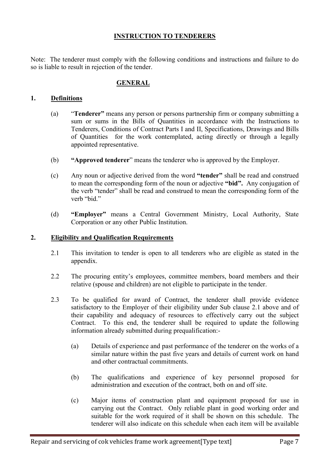### INSTRUCTION TO TENDERERS

Note: The tenderer must comply with the following conditions and instructions and failure to do so is liable to result in rejection of the tender.

### GENERAL

### 1. Definitions

- (a) "Tenderer" means any person or persons partnership firm or company submitting a sum or sums in the Bills of Quantities in accordance with the Instructions to Tenderers, Conditions of Contract Parts I and II, Specifications, Drawings and Bills of Quantities for the work contemplated, acting directly or through a legally appointed representative.
- (b) "Approved tenderer" means the tenderer who is approved by the Employer.
- (c) Any noun or adjective derived from the word "tender" shall be read and construed to mean the corresponding form of the noun or adjective "bid". Any conjugation of the verb "tender" shall be read and construed to mean the corresponding form of the verh "bid"
- (d) "Employer" means a Central Government Ministry, Local Authority, State Corporation or any other Public Institution.

### 2. Eligibility and Qualification Requirements

- 2.1 This invitation to tender is open to all tenderers who are eligible as stated in the appendix.
- 2.2 The procuring entity's employees, committee members, board members and their relative (spouse and children) are not eligible to participate in the tender.
- 2.3 To be qualified for award of Contract, the tenderer shall provide evidence satisfactory to the Employer of their eligibility under Sub clause 2.1 above and of their capability and adequacy of resources to effectively carry out the subject Contract. To this end, the tenderer shall be required to update the following information already submitted during prequalification:-
	- (a) Details of experience and past performance of the tenderer on the works of a similar nature within the past five years and details of current work on hand and other contractual commitments.
	- (b) The qualifications and experience of key personnel proposed for administration and execution of the contract, both on and off site.
	- (c) Major items of construction plant and equipment proposed for use in carrying out the Contract. Only reliable plant in good working order and suitable for the work required of it shall be shown on this schedule. The tenderer will also indicate on this schedule when each item will be available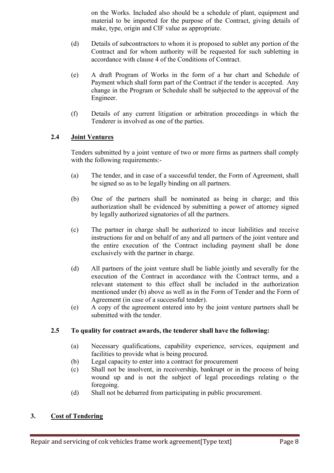on the Works. Included also should be a schedule of plant, equipment and material to be imported for the purpose of the Contract, giving details of make, type, origin and CIF value as appropriate.

- (d) Details of subcontractors to whom it is proposed to sublet any portion of the Contract and for whom authority will be requested for such subletting in accordance with clause 4 of the Conditions of Contract.
- (e) A draft Program of Works in the form of a bar chart and Schedule of Payment which shall form part of the Contract if the tender is accepted. Any change in the Program or Schedule shall be subjected to the approval of the Engineer.
- (f) Details of any current litigation or arbitration proceedings in which the Tenderer is involved as one of the parties.

### 2.4 Joint Ventures

Tenders submitted by a joint venture of two or more firms as partners shall comply with the following requirements:-

- (a) The tender, and in case of a successful tender, the Form of Agreement, shall be signed so as to be legally binding on all partners.
- (b) One of the partners shall be nominated as being in charge; and this authorization shall be evidenced by submitting a power of attorney signed by legally authorized signatories of all the partners.
- (c) The partner in charge shall be authorized to incur liabilities and receive instructions for and on behalf of any and all partners of the joint venture and the entire execution of the Contract including payment shall be done exclusively with the partner in charge.
- (d) All partners of the joint venture shall be liable jointly and severally for the execution of the Contract in accordance with the Contract terms, and a relevant statement to this effect shall be included in the authorization mentioned under (b) above as well as in the Form of Tender and the Form of Agreement (in case of a successful tender).
- (e) A copy of the agreement entered into by the joint venture partners shall be submitted with the tender.

### 2.5 To quality for contract awards, the tenderer shall have the following:

- (a) Necessary qualifications, capability experience, services, equipment and facilities to provide what is being procured.
- (b) Legal capacity to enter into a contract for procurement
- (c) Shall not be insolvent, in receivership, bankrupt or in the process of being wound up and is not the subject of legal proceedings relating o the foregoing.
- (d) Shall not be debarred from participating in public procurement.

### 3. Cost of Tendering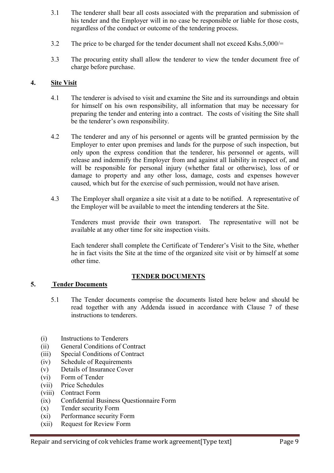- 3.1 The tenderer shall bear all costs associated with the preparation and submission of his tender and the Employer will in no case be responsible or liable for those costs, regardless of the conduct or outcome of the tendering process.
- 3.2 The price to be charged for the tender document shall not exceed Kshs.5,000/=
- 3.3 The procuring entity shall allow the tenderer to view the tender document free of charge before purchase.

### 4. Site Visit

- 4.1 The tenderer is advised to visit and examine the Site and its surroundings and obtain for himself on his own responsibility, all information that may be necessary for preparing the tender and entering into a contract. The costs of visiting the Site shall be the tenderer's own responsibility.
- 4.2 The tenderer and any of his personnel or agents will be granted permission by the Employer to enter upon premises and lands for the purpose of such inspection, but only upon the express condition that the tenderer, his personnel or agents, will release and indemnify the Employer from and against all liability in respect of, and will be responsible for personal injury (whether fatal or otherwise), loss of or damage to property and any other loss, damage, costs and expenses however caused, which but for the exercise of such permission, would not have arisen.
- 4.3 The Employer shall organize a site visit at a date to be notified. A representative of the Employer will be available to meet the intending tenderers at the Site.

Tenderers must provide their own transport. The representative will not be available at any other time for site inspection visits.

Each tenderer shall complete the Certificate of Tenderer's Visit to the Site, whether he in fact visits the Site at the time of the organized site visit or by himself at some other time.

### TENDER DOCUMENTS

### 5. Tender Documents

- 5.1 The Tender documents comprise the documents listed here below and should be read together with any Addenda issued in accordance with Clause 7 of these instructions to tenderers.
- (i) Instructions to Tenderers
- (ii) General Conditions of Contract
- (iii) Special Conditions of Contract
- (iv) Schedule of Requirements
- (v) Details of Insurance Cover
- (vi) Form of Tender
- (vii) Price Schedules
- (viii) Contract Form
- (ix) Confidential Business Questionnaire Form
- (x) Tender security Form
- (xi) Performance security Form
- (xii) Request for Review Form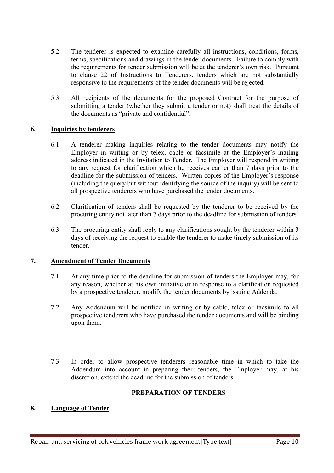- 5.2 The tenderer is expected to examine carefully all instructions, conditions, forms, terms, specifications and drawings in the tender documents. Failure to comply with the requirements for tender submission will be at the tenderer's own risk. Pursuant to clause 22 of Instructions to Tenderers, tenders which are not substantially responsive to the requirements of the tender documents will be rejected.
- 5.3 All recipients of the documents for the proposed Contract for the purpose of submitting a tender (whether they submit a tender or not) shall treat the details of the documents as "private and confidential".

### 6. Inquiries by tenderers

- 6.1 A tenderer making inquiries relating to the tender documents may notify the Employer in writing or by telex, cable or facsimile at the Employer's mailing address indicated in the Invitation to Tender. The Employer will respond in writing to any request for clarification which he receives earlier than 7 days prior to the deadline for the submission of tenders. Written copies of the Employer's response (including the query but without identifying the source of the inquiry) will be sent to all prospective tenderers who have purchased the tender documents.
- 6.2 Clarification of tenders shall be requested by the tenderer to be received by the procuring entity not later than 7 days prior to the deadline for submission of tenders.
- 6.3 The procuring entity shall reply to any clarifications sought by the tenderer within 3 days of receiving the request to enable the tenderer to make timely submission of its tender.

### 7. Amendment of Tender Documents

- 7.1 At any time prior to the deadline for submission of tenders the Employer may, for any reason, whether at his own initiative or in response to a clarification requested by a prospective tenderer, modify the tender documents by issuing Addenda.
- 7.2 Any Addendum will be notified in writing or by cable, telex or facsimile to all prospective tenderers who have purchased the tender documents and will be binding upon them.
- 7.3 In order to allow prospective tenderers reasonable time in which to take the Addendum into account in preparing their tenders, the Employer may, at his discretion, extend the deadline for the submission of tenders.

### PREPARATION OF TENDERS

### 8. Language of Tender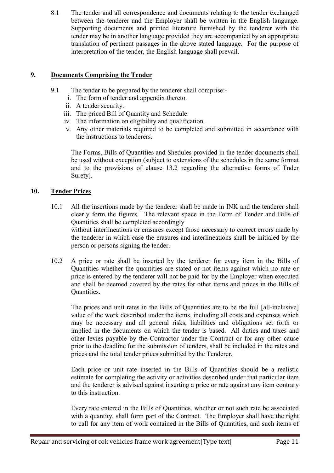8.1 The tender and all correspondence and documents relating to the tender exchanged between the tenderer and the Employer shall be written in the English language. Supporting documents and printed literature furnished by the tenderer with the tender may be in another language provided they are accompanied by an appropriate translation of pertinent passages in the above stated language. For the purpose of interpretation of the tender, the English language shall prevail.

### 9. Documents Comprising the Tender

- 9.1 The tender to be prepared by the tenderer shall comprise:
	- i. The form of tender and appendix thereto.
	- ii. A tender security.
	- iii. The priced Bill of Quantity and Schedule.
	- iv. The information on eligibility and qualification.
	- v. Any other materials required to be completed and submitted in accordance with the instructions to tenderers.

The Forms, Bills of Quantities and Shedules provided in the tender documents shall be used without exception (subject to extensions of the schedules in the same format and to the provisions of clause 13.2 regarding the alternative forms of Tnder Surety].

### 10. Tender Prices

- 10.1 All the insertions made by the tenderer shall be made in INK and the tenderer shall clearly form the figures. The relevant space in the Form of Tender and Bills of Quantities shall be completed accordingly without interlineations or erasures except those necessary to correct errors made by the tenderer in which case the erasures and interlineations shall be initialed by the person or persons signing the tender.
- 10.2 A price or rate shall be inserted by the tenderer for every item in the Bills of Quantities whether the quantities are stated or not items against which no rate or price is entered by the tenderer will not be paid for by the Employer when executed and shall be deemed covered by the rates for other items and prices in the Bills of Quantities.

The prices and unit rates in the Bills of Quantities are to be the full [all-inclusive] value of the work described under the items, including all costs and expenses which may be necessary and all general risks, liabilities and obligations set forth or implied in the documents on which the tender is based. All duties and taxes and other levies payable by the Contractor under the Contract or for any other cause prior to the deadline for the submission of tenders, shall be included in the rates and prices and the total tender prices submitted by the Tenderer.

Each price or unit rate inserted in the Bills of Quantities should be a realistic estimate for completing the activity or activities described under that particular item and the tenderer is advised against inserting a price or rate against any item contrary to this instruction.

Every rate entered in the Bills of Quantities, whether or not such rate be associated with a quantity, shall form part of the Contract. The Employer shall have the right to call for any item of work contained in the Bills of Quantities, and such items of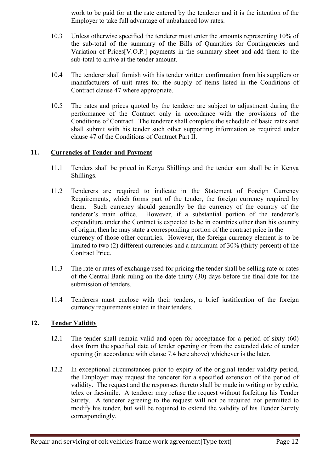work to be paid for at the rate entered by the tenderer and it is the intention of the Employer to take full advantage of unbalanced low rates.

- 10.3 Unless otherwise specified the tenderer must enter the amounts representing 10% of the sub-total of the summary of the Bills of Quantities for Contingencies and Variation of Prices[V.O.P.] payments in the summary sheet and add them to the sub-total to arrive at the tender amount.
- 10.4 The tenderer shall furnish with his tender written confirmation from his suppliers or manufacturers of unit rates for the supply of items listed in the Conditions of Contract clause 47 where appropriate.
- 10.5 The rates and prices quoted by the tenderer are subject to adjustment during the performance of the Contract only in accordance with the provisions of the Conditions of Contract. The tenderer shall complete the schedule of basic rates and shall submit with his tender such other supporting information as required under clause 47 of the Conditions of Contract Part II.

### 11. Currencies of Tender and Payment

- 11.1 Tenders shall be priced in Kenya Shillings and the tender sum shall be in Kenya Shillings.
- 11.2 Tenderers are required to indicate in the Statement of Foreign Currency Requirements, which forms part of the tender, the foreign currency required by them. Such currency should generally be the currency of the country of the tenderer's main office. However, if a substantial portion of the tenderer's expenditure under the Contract is expected to be in countries other than his country of origin, then he may state a corresponding portion of the contract price in the currency of those other countries. However, the foreign currency element is to be limited to two (2) different currencies and a maximum of 30% (thirty percent) of the Contract Price.
- 11.3 The rate or rates of exchange used for pricing the tender shall be selling rate or rates of the Central Bank ruling on the date thirty (30) days before the final date for the submission of tenders.
- 11.4 Tenderers must enclose with their tenders, a brief justification of the foreign currency requirements stated in their tenders.

### 12. Tender Validity

- 12.1 The tender shall remain valid and open for acceptance for a period of sixty (60) days from the specified date of tender opening or from the extended date of tender opening (in accordance with clause 7.4 here above) whichever is the later.
- 12.2 In exceptional circumstances prior to expiry of the original tender validity period, the Employer may request the tenderer for a specified extension of the period of validity. The request and the responses thereto shall be made in writing or by cable, telex or facsimile. A tenderer may refuse the request without forfeiting his Tender Surety. A tenderer agreeing to the request will not be required nor permitted to modify his tender, but will be required to extend the validity of his Tender Surety correspondingly.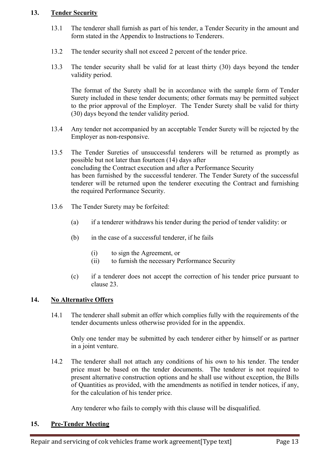### 13. Tender Security

- 13.1 The tenderer shall furnish as part of his tender, a Tender Security in the amount and form stated in the Appendix to Instructions to Tenderers.
- 13.2 The tender security shall not exceed 2 percent of the tender price.
- 13.3 The tender security shall be valid for at least thirty (30) days beyond the tender validity period.

The format of the Surety shall be in accordance with the sample form of Tender Surety included in these tender documents; other formats may be permitted subject to the prior approval of the Employer. The Tender Surety shall be valid for thirty (30) days beyond the tender validity period.

- 13.4 Any tender not accompanied by an acceptable Tender Surety will be rejected by the Employer as non-responsive.
- 13.5 The Tender Sureties of unsuccessful tenderers will be returned as promptly as possible but not later than fourteen (14) days after concluding the Contract execution and after a Performance Security has been furnished by the successful tenderer. The Tender Surety of the successful tenderer will be returned upon the tenderer executing the Contract and furnishing the required Performance Security.
- 13.6 The Tender Surety may be forfeited:
	- (a) if a tenderer withdraws his tender during the period of tender validity: or
	- (b) in the case of a successful tenderer, if he fails
		- (i) to sign the Agreement, or
		- (ii) to furnish the necessary Performance Security
	- (c) if a tenderer does not accept the correction of his tender price pursuant to clause 23.

### 14. No Alternative Offers

14.1 The tenderer shall submit an offer which complies fully with the requirements of the tender documents unless otherwise provided for in the appendix.

Only one tender may be submitted by each tenderer either by himself or as partner in a joint venture.

14.2 The tenderer shall not attach any conditions of his own to his tender. The tender price must be based on the tender documents. The tenderer is not required to present alternative construction options and he shall use without exception, the Bills of Quantities as provided, with the amendments as notified in tender notices, if any, for the calculation of his tender price.

Any tenderer who fails to comply with this clause will be disqualified.

### 15. Pre-Tender Meeting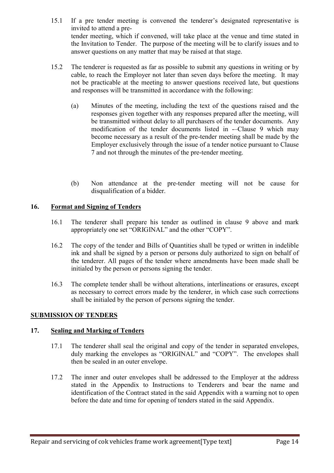- 15.1 If a pre tender meeting is convened the tenderer's designated representative is invited to attend a pretender meeting, which if convened, will take place at the venue and time stated in the Invitation to Tender. The purpose of the meeting will be to clarify issues and to answer questions on any matter that may be raised at that stage.
- 15.2 The tenderer is requested as far as possible to submit any questions in writing or by cable, to reach the Employer not later than seven days before the meeting. It may not be practicable at the meeting to answer questions received late, but questions and responses will be transmitted in accordance with the following:
	- (a) Minutes of the meeting, including the text of the questions raised and the responses given together with any responses prepared after the meeting, will be transmitted without delay to all purchasers of the tender documents. Any modification of the tender documents listed in -–Clause 9 which may become necessary as a result of the pre-tender meeting shall be made by the Employer exclusively through the issue of a tender notice pursuant to Clause 7 and not through the minutes of the pre-tender meeting.
	- (b) Non attendance at the pre-tender meeting will not be cause for disqualification of a bidder.

### 16. Format and Signing of Tenders

- 16.1 The tenderer shall prepare his tender as outlined in clause 9 above and mark appropriately one set "ORIGINAL" and the other "COPY".
- 16.2 The copy of the tender and Bills of Quantities shall be typed or written in indelible ink and shall be signed by a person or persons duly authorized to sign on behalf of the tenderer. All pages of the tender where amendments have been made shall be initialed by the person or persons signing the tender.
- 16.3 The complete tender shall be without alterations, interlineations or erasures, except as necessary to correct errors made by the tenderer, in which case such corrections shall be initialed by the person of persons signing the tender.

### SUBMISSION OF TENDERS

### 17. Sealing and Marking of Tenders

- 17.1 The tenderer shall seal the original and copy of the tender in separated envelopes, duly marking the envelopes as "ORIGINAL" and "COPY". The envelopes shall then be sealed in an outer envelope.
- 17.2 The inner and outer envelopes shall be addressed to the Employer at the address stated in the Appendix to Instructions to Tenderers and bear the name and identification of the Contract stated in the said Appendix with a warning not to open before the date and time for opening of tenders stated in the said Appendix.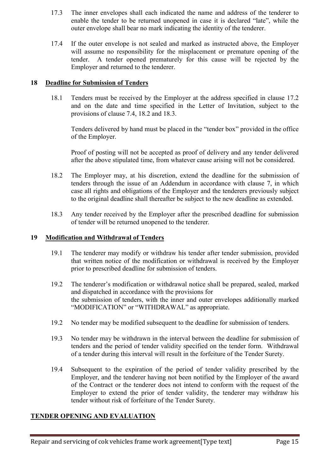- 17.3 The inner envelopes shall each indicated the name and address of the tenderer to enable the tender to be returned unopened in case it is declared "late", while the outer envelope shall bear no mark indicating the identity of the tenderer.
- 17.4 If the outer envelope is not sealed and marked as instructed above, the Employer will assume no responsibility for the misplacement or premature opening of the tender. A tender opened prematurely for this cause will be rejected by the Employer and returned to the tenderer.

### 18 Deadline for Submission of Tenders

18.1 Tenders must be received by the Employer at the address specified in clause 17.2 and on the date and time specified in the Letter of Invitation, subject to the provisions of clause 7.4, 18.2 and 18.3.

Tenders delivered by hand must be placed in the "tender box" provided in the office of the Employer.

Proof of posting will not be accepted as proof of delivery and any tender delivered after the above stipulated time, from whatever cause arising will not be considered.

- 18.2 The Employer may, at his discretion, extend the deadline for the submission of tenders through the issue of an Addendum in accordance with clause 7, in which case all rights and obligations of the Employer and the tenderers previously subject to the original deadline shall thereafter be subject to the new deadline as extended.
- 18.3 Any tender received by the Employer after the prescribed deadline for submission of tender will be returned unopened to the tenderer.

### 19 Modification and Withdrawal of Tenders

- 19.1 The tenderer may modify or withdraw his tender after tender submission, provided that written notice of the modification or withdrawal is received by the Employer prior to prescribed deadline for submission of tenders.
- 19.2 The tenderer's modification or withdrawal notice shall be prepared, sealed, marked and dispatched in accordance with the provisions for the submission of tenders, with the inner and outer envelopes additionally marked "MODIFICATION" or "WITHDRAWAL" as appropriate.
- 19.2 No tender may be modified subsequent to the deadline for submission of tenders.
- 19.3 No tender may be withdrawn in the interval between the deadline for submission of tenders and the period of tender validity specified on the tender form. Withdrawal of a tender during this interval will result in the forfeiture of the Tender Surety.
- 19.4 Subsequent to the expiration of the period of tender validity prescribed by the Employer, and the tenderer having not been notified by the Employer of the award of the Contract or the tenderer does not intend to conform with the request of the Employer to extend the prior of tender validity, the tenderer may withdraw his tender without risk of forfeiture of the Tender Surety.

### TENDER OPENING AND EVALUATION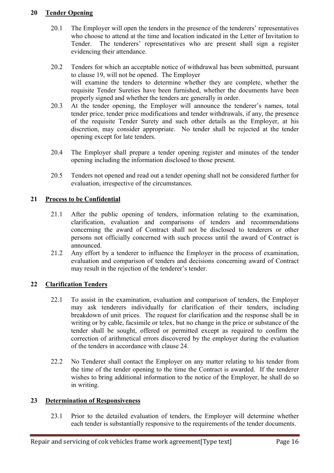### 20 Tender Opening

- 20.1 The Employer will open the tenders in the presence of the tenderers' representatives who choose to attend at the time and location indicated in the Letter of Invitation to Tender. The tenderers' representatives who are present shall sign a register evidencing their attendance.
- 20.2 Tenders for which an acceptable notice of withdrawal has been submitted, pursuant to clause 19, will not be opened. The Employer will examine the tenders to determine whether they are complete, whether the requisite Tender Sureties have been furnished, whether the documents have been properly signed and whether the tenders are generally in order.
- 20.3 At the tender opening, the Employer will announce the tenderer's names, total tender price, tender price modifications and tender withdrawals, if any, the presence of the requisite Tender Surety and such other details as the Employer, at his discretion, may consider appropriate. No tender shall be rejected at the tender opening except for late tenders.
- 20.4 The Employer shall prepare a tender opening register and minutes of the tender opening including the information disclosed to those present.
- 20.5 Tenders not opened and read out a tender opening shall not be considered further for evaluation, irrespective of the circumstances.

### 21 Process to be Confidential

- 21.1 After the public opening of tenders, information relating to the examination, clarification, evaluation and comparisons of tenders and recommendations concerning the award of Contract shall not be disclosed to tenderers or other persons not officially concerned with such process until the award of Contract is announced.
- 21.2 Any effort by a tenderer to influence the Employer in the process of examination, evaluation and comparison of tenders and decisions concerning award of Contract may result in the rejection of the tenderer's tender.

### 22 Clarification Tenders

- 22.1 To assist in the examination, evaluation and comparison of tenders, the Employer may ask tenderers individually for clarification of their tenders, including breakdown of unit prices. The request for clarification and the response shall be in writing or by cable, facsimile or telex, but no change in the price or substance of the tender shall be sought, offered or permitted except as required to confirm the correction of arithmetical errors discovered by the employer during the evaluation of the tenders in accordance with clause 24.
- 22.2 No Tenderer shall contact the Employer on any matter relating to his tender from the time of the tender opening to the time the Contract is awarded. If the tenderer wishes to bring additional information to the notice of the Employer, he shall do so in writing.

### 23 Determination of Responsiveness

23.1 Prior to the detailed evaluation of tenders, the Employer will determine whether each tender is substantially responsive to the requirements of the tender documents.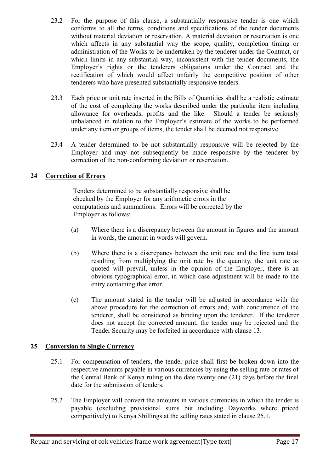- 23.2 For the purpose of this clause, a substantially responsive tender is one which conforms to all the terms, conditions and specifications of the tender documents without material deviation or reservation. A material deviation or reservation is one which affects in any substantial way the scope, quality, completion timing or administration of the Works to be undertaken by the tenderer under the Contract, or which limits in any substantial way, inconsistent with the tender documents, the Employer's rights or the tenderers obligations under the Contract and the rectification of which would affect unfairly the competitive position of other tenderers who have presented substantially responsive tenders.
- 23.3 Each price or unit rate inserted in the Bills of Quantities shall be a realistic estimate of the cost of completing the works described under the particular item including allowance for overheads, profits and the like. Should a tender be seriously unbalanced in relation to the Employer's estimate of the works to be performed under any item or groups of items, the tender shall be deemed not responsive.
- 23.4 A tender determined to be not substantially responsive will be rejected by the Employer and may not subsequently be made responsive by the tenderer by correction of the non-conforming deviation or reservation.

### 24 Correction of Errors

Tenders determined to be substantially responsive shall be checked by the Employer for any arithmetic errors in the computations and summations. Errors will be corrected by the Employer as follows:

- (a) Where there is a discrepancy between the amount in figures and the amount in words, the amount in words will govern.
- (b) Where there is a discrepancy between the unit rate and the line item total resulting from multiplying the unit rate by the quantity, the unit rate as quoted will prevail, unless in the opinion of the Employer, there is an obvious typographical error, in which case adjustment will be made to the entry containing that error.
- (c) The amount stated in the tender will be adjusted in accordance with the above procedure for the correction of errors and, with concurrence of the tenderer, shall be considered as binding upon the tenderer. If the tenderer does not accept the corrected amount, the tender may be rejected and the Tender Security may be forfeited in accordance with clause 13.

### 25 Conversion to Single Currency

- 25.1 For compensation of tenders, the tender price shall first be broken down into the respective amounts payable in various currencies by using the selling rate or rates of the Central Bank of Kenya ruling on the date twenty one (21) days before the final date for the submission of tenders.
- 25.2 The Employer will convert the amounts in various currencies in which the tender is payable (excluding provisional sums but including Dayworks where priced competitively) to Kenya Shillings at the selling rates stated in clause 25.1.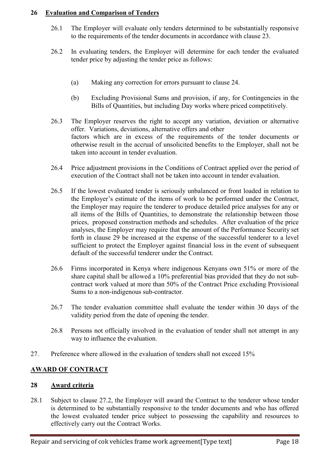### 26 Evaluation and Comparison of Tenders

- 26.1 The Employer will evaluate only tenders determined to be substantially responsive to the requirements of the tender documents in accordance with clause 23.
- 26.2 In evaluating tenders, the Employer will determine for each tender the evaluated tender price by adjusting the tender price as follows:
	- (a) Making any correction for errors pursuant to clause 24.
	- (b) Excluding Provisional Sums and provision, if any, for Contingencies in the Bills of Quantities, but including Day works where priced competitively.
- 26.3 The Employer reserves the right to accept any variation, deviation or alternative offer. Variations, deviations, alternative offers and other factors which are in excess of the requirements of the tender documents or otherwise result in the accrual of unsolicited benefits to the Employer, shall not be taken into account in tender evaluation.
- 26.4 Price adjustment provisions in the Conditions of Contract applied over the period of execution of the Contract shall not be taken into account in tender evaluation.
- 26.5 If the lowest evaluated tender is seriously unbalanced or front loaded in relation to the Employer's estimate of the items of work to be performed under the Contract, the Employer may require the tenderer to produce detailed price analyses for any or all items of the Bills of Quantities, to demonstrate the relationship between those prices, proposed construction methods and schedules. After evaluation of the price analyses, the Employer may require that the amount of the Performance Security set forth in clause 29 be increased at the expense of the successful tenderer to a level sufficient to protect the Employer against financial loss in the event of subsequent default of the successful tenderer under the Contract.
- 26.6 Firms incorporated in Kenya where indigenous Kenyans own 51% or more of the share capital shall be allowed a 10% preferential bias provided that they do not subcontract work valued at more than 50% of the Contract Price excluding Provisional Sums to a non-indigenous sub-contractor.
- 26.7 The tender evaluation committee shall evaluate the tender within 30 days of the validity period from the date of opening the tender.
- 26.8 Persons not officially involved in the evaluation of tender shall not attempt in any way to influence the evaluation.
- 27. Preference where allowed in the evaluation of tenders shall not exceed 15%

### AWARD OF CONTRACT

### 28 Award criteria

28.1 Subject to clause 27.2, the Employer will award the Contract to the tenderer whose tender is determined to be substantially responsive to the tender documents and who has offered the lowest evaluated tender price subject to possessing the capability and resources to effectively carry out the Contract Works.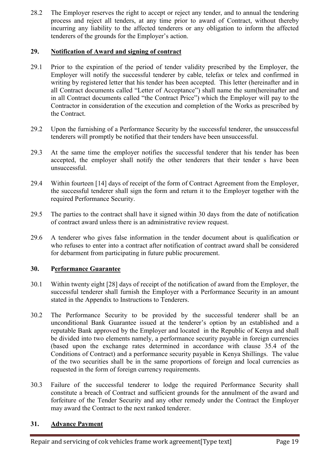28.2 The Employer reserves the right to accept or reject any tender, and to annual the tendering process and reject all tenders, at any time prior to award of Contract, without thereby incurring any liability to the affected tenderers or any obligation to inform the affected tenderers of the grounds for the Employer's action.

### 29. Notification of Award and signing of contract

- 29.1 Prior to the expiration of the period of tender validity prescribed by the Employer, the Employer will notify the successful tenderer by cable, telefax or telex and confirmed in writing by registered letter that his tender has been accepted. This letter (hereinafter and in all Contract documents called "Letter of Acceptance") shall name the sum(hereinafter and in all Contract documents called "the Contract Price") which the Employer will pay to the Contractor in consideration of the execution and completion of the Works as prescribed by the Contract.
- 29.2 Upon the furnishing of a Performance Security by the successful tenderer, the unsuccessful tenderers will promptly be notified that their tenders have been unsuccessful.
- 29.3 At the same time the employer notifies the successful tenderer that his tender has been accepted, the employer shall notify the other tenderers that their tender s have been unsuccessful.
- 29.4 Within fourteen [14] days of receipt of the form of Contract Agreement from the Employer, the successful tenderer shall sign the form and return it to the Employer together with the required Performance Security.
- 29.5 The parties to the contract shall have it signed within 30 days from the date of notification of contract award unless there is an administrative review request.
- 29.6 A tenderer who gives false information in the tender document about is qualification or who refuses to enter into a contract after notification of contract award shall be considered for debarment from participating in future public procurement.

### 30. Performance Guarantee

- 30.1 Within twenty eight [28] days of receipt of the notification of award from the Employer, the successful tenderer shall furnish the Employer with a Performance Security in an amount stated in the Appendix to Instructions to Tenderers.
- 30.2 The Performance Security to be provided by the successful tenderer shall be an unconditional Bank Guarantee issued at the tenderer's option by an established and a reputable Bank approved by the Employer and located in the Republic of Kenya and shall be divided into two elements namely, a performance security payable in foreign currencies (based upon the exchange rates determined in accordance with clause 35.4 of the Conditions of Contract) and a performance security payable in Kenya Shillings. The value of the two securities shall be in the same proportions of foreign and local currencies as requested in the form of foreign currency requirements.
- 30.3 Failure of the successful tenderer to lodge the required Performance Security shall constitute a breach of Contract and sufficient grounds for the annulment of the award and forfeiture of the Tender Security and any other remedy under the Contract the Employer may award the Contract to the next ranked tenderer.

### 31. Advance Payment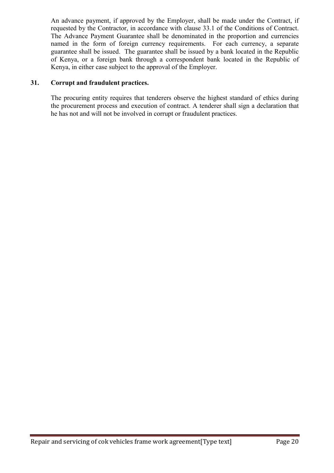An advance payment, if approved by the Employer, shall be made under the Contract, if requested by the Contractor, in accordance with clause 33.1 of the Conditions of Contract. The Advance Payment Guarantee shall be denominated in the proportion and currencies named in the form of foreign currency requirements. For each currency, a separate guarantee shall be issued. The guarantee shall be issued by a bank located in the Republic of Kenya, or a foreign bank through a correspondent bank located in the Republic of Kenya, in either case subject to the approval of the Employer.

### 31. Corrupt and fraudulent practices.

The procuring entity requires that tenderers observe the highest standard of ethics during the procurement process and execution of contract. A tenderer shall sign a declaration that he has not and will not be involved in corrupt or fraudulent practices.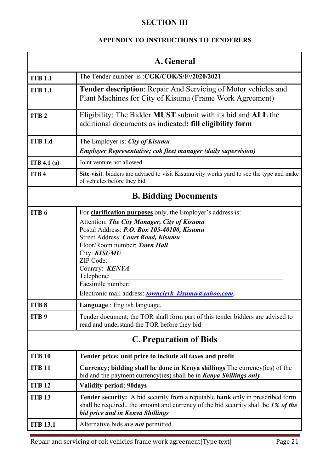### **SECTION III**

### APPENDIX TO INSTRUCTIONS TO TENDERERS

| A. General                    |                                                                                                                                                                                                                                                                                                                                                                                                     |  |
|-------------------------------|-----------------------------------------------------------------------------------------------------------------------------------------------------------------------------------------------------------------------------------------------------------------------------------------------------------------------------------------------------------------------------------------------------|--|
| <b>ITB 1.1</b>                | The Tender number is: CGK/COK/S/F//2020/2021                                                                                                                                                                                                                                                                                                                                                        |  |
| <b>ITB 1.1</b>                | Tender description: Repair And Servicing of Motor vehicles and<br>Plant Machines for City of Kisumu (Frame Work Agreement)                                                                                                                                                                                                                                                                          |  |
| ITB <sub>2</sub>              | Eligibility: The Bidder MUST submit with its bid and ALL the<br>additional documents as indicated: fill eligibility form                                                                                                                                                                                                                                                                            |  |
| <b>ITB 1.d</b>                | The Employer is: <i>City of Kisumu</i><br><b>Employer Representative; cok fleet manager (daily supervision)</b>                                                                                                                                                                                                                                                                                     |  |
| ITB 4.1(a)                    | Joint venture not allowed                                                                                                                                                                                                                                                                                                                                                                           |  |
| ITB <sub>4</sub>              | Site visit: bidders are advised to visit Kisumu city works yard to see the type and make<br>of vehicles before they bid                                                                                                                                                                                                                                                                             |  |
|                               | <b>B. Bidding Documents</b>                                                                                                                                                                                                                                                                                                                                                                         |  |
| ITB <sub>6</sub>              | For <b>clarification purposes</b> only, the Employer's address is:<br>Attention: The City Manager, City of Kisumu<br>Postal Address: P.O. Box 105-40100, Kisumu<br>Street Address: Court Road, Kisumu<br>Floor/Room number: Town Hall<br>City: <b>KISUMU</b><br>ZIP Code:<br>Country: <b>KENYA</b><br>Telephone: _____<br>Facsimile number:<br>Electronic mail address: townclerk kisumu@yahoo.com, |  |
| ITB <sub>8</sub>              | Language : English language.                                                                                                                                                                                                                                                                                                                                                                        |  |
| ITB <sub>9</sub>              | Tender document; the TOR shall form part of this tender bidders are advised to<br>read and understand the TOR before they bid                                                                                                                                                                                                                                                                       |  |
| <b>C. Preparation of Bids</b> |                                                                                                                                                                                                                                                                                                                                                                                                     |  |
| <b>ITB 10</b>                 | Tender price: unit price to include all taxes and profit                                                                                                                                                                                                                                                                                                                                            |  |
| <b>ITB 11</b>                 | Currency; bidding shall be done in Kenya shillings The currency(ies) of the<br>bid and the payment currency(ies) shall be in <b>Kenya Shillings only</b>                                                                                                                                                                                                                                            |  |
| <b>ITB 12</b>                 | <b>Validity period: 90days</b>                                                                                                                                                                                                                                                                                                                                                                      |  |
| <b>ITB 13</b>                 | <b>Tender security:</b> A bid security from a reputable <b>bank</b> only in prescribed form<br>shall be required, the amount and currency of the bid security shall be 1% of the<br>bid price and in Kenya Shillings                                                                                                                                                                                |  |
| <b>ITB 13.1</b>               | Alternative bids are not permitted.                                                                                                                                                                                                                                                                                                                                                                 |  |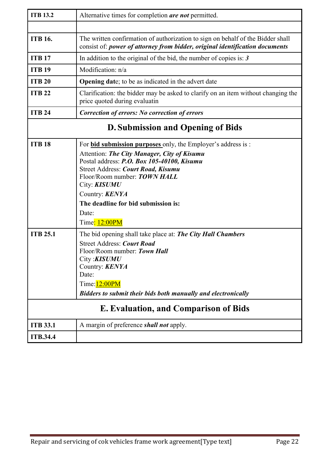| <b>ITB 13.2</b> | Alternative times for completion are not permitted.                                                                                                                                                                                                                                                                                                             |  |
|-----------------|-----------------------------------------------------------------------------------------------------------------------------------------------------------------------------------------------------------------------------------------------------------------------------------------------------------------------------------------------------------------|--|
|                 |                                                                                                                                                                                                                                                                                                                                                                 |  |
| <b>ITB 16.</b>  | The written confirmation of authorization to sign on behalf of the Bidder shall<br>consist of: power of attorney from bidder, original identification documents                                                                                                                                                                                                 |  |
| <b>ITB 17</b>   | In addition to the original of the bid, the number of copies is: $3$                                                                                                                                                                                                                                                                                            |  |
| <b>ITB 19</b>   | Modification: n/a                                                                                                                                                                                                                                                                                                                                               |  |
| <b>ITB 20</b>   | <b>Opening date</b> ; to be as indicated in the advert date                                                                                                                                                                                                                                                                                                     |  |
| <b>ITB 22</b>   | Clarification: the bidder may be asked to clarify on an item without changing the<br>price quoted during evaluatin                                                                                                                                                                                                                                              |  |
| <b>ITB 24</b>   | Correction of errors: No correction of errors                                                                                                                                                                                                                                                                                                                   |  |
|                 | <b>D. Submission and Opening of Bids</b>                                                                                                                                                                                                                                                                                                                        |  |
| <b>ITB 18</b>   | For <b>bid submission purposes</b> only, the Employer's address is :<br>Attention: The City Manager, City of Kisumu<br>Postal address: P.O. Box 105-40100, Kisumu<br>Street Address: Court Road, Kisumu<br>Floor/Room number: <b>TOWN HALL</b><br>City: <b>KISUMU</b><br>Country: <b>KENYA</b><br>The deadline for bid submission is:<br>Date:<br>Time: 12:00PM |  |
| <b>ITB 25.1</b> | The bid opening shall take place at: <b>The City Hall Chambers</b><br><b>Street Address: Court Road</b><br>Floor/Room number: Town Hall<br>City : <b>KISUMU</b><br>Country: <b>KENYA</b><br>Date:<br>Time: 12:00PM<br>Bidders to submit their bids both manually and electronically                                                                             |  |
|                 | <b>E. Evaluation, and Comparison of Bids</b>                                                                                                                                                                                                                                                                                                                    |  |
| <b>ITB 33.1</b> | A margin of preference <i>shall not</i> apply.                                                                                                                                                                                                                                                                                                                  |  |
| <b>ITB.34.4</b> |                                                                                                                                                                                                                                                                                                                                                                 |  |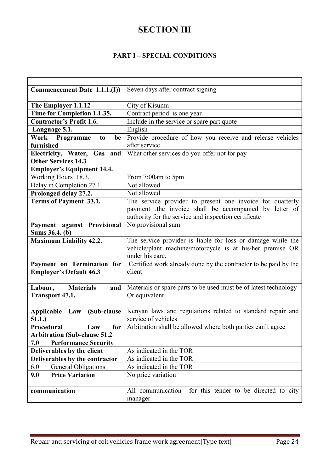### **SECTION III**

### PART I – SPECIAL CONDITIONS

| Commencement Date 1.1.1.(I)            | Seven days after contract signing                                      |
|----------------------------------------|------------------------------------------------------------------------|
|                                        |                                                                        |
| The Employer 1.1.12                    | City of Kisumu                                                         |
| Time for Completion 1.1.35.            | Contract period is one year                                            |
| <b>Contractor's Profit 1.6.</b>        | Include in the service or spare part quote                             |
| Language 5.1.                          | English                                                                |
| Work Programme<br>be<br>t <sub>0</sub> | Provide procedure of how you receive and release vehicles              |
| furnished                              | after service                                                          |
| Electricity, Water, Gas and            | What other services do you offer not for pay                           |
| <b>Other Services 14.3</b>             |                                                                        |
| <b>Employer's Equipment 14.4.</b>      |                                                                        |
| Working Hours 18.3.                    | From 7:00am to 5pm                                                     |
| Delay in Completion 27.1.              | Not allowed                                                            |
| Prolonged delay 27.2.                  | Not allowed                                                            |
| Terms of Payment 33.1.                 | The service provider to present one invoice for quarterly              |
|                                        | payment the invoice shall be accompanied by letter of                  |
|                                        | authority for the service and inspection certificate                   |
| Payment against Provisional            | No provisional sum                                                     |
| Sums 36.4. (b)                         |                                                                        |
| <b>Maximum Liability 42.2.</b>         | The service provider is liable for loss or damage while the            |
|                                        | vehicle/plant machine/motorcycle is at his/her premise OR              |
|                                        | under his care.                                                        |
| Payment on Termination for             | Certified work already done by the contractor to be paid by the        |
| <b>Employer's Default 46.3</b>         | client                                                                 |
|                                        |                                                                        |
| Labour,<br><b>Materials</b><br>and     | Materials or spare parts to be used must be of latest technology       |
| <b>Transport 47.1.</b>                 | Or equivalent                                                          |
|                                        |                                                                        |
| (Sub-clause<br>Applicable Law          | Kenyan laws and regulations related to standard repair and             |
| 51.1.)                                 | service of vehicles                                                    |
| Procedural<br>Law                      | <b>for</b> Arbitration shall be allowed where both parties can't agree |
| <b>Arbitration (Sub-clause 51.2</b>    |                                                                        |
| 7.0<br><b>Performance Security</b>     |                                                                        |
| Deliverables by the client             | As indicated in the TOR                                                |
| Deliverables by the contractor         | As indicated in the TOR                                                |
| 6.0<br><b>General Obligations</b>      | As indicated in the TOR                                                |
| <b>Price Variation</b><br>9.0          | No price variation                                                     |
|                                        |                                                                        |
| communication                          | All communication<br>for this tender to be directed to city            |
|                                        | manager                                                                |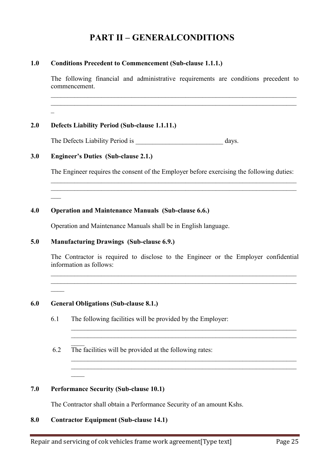### PART II – GENERALCONDITIONS

### 1.0 Conditions Precedent to Commencement (Sub-clause 1.1.1.)

The following financial and administrative requirements are conditions precedent to commencement.

\_\_\_\_\_\_\_\_\_\_\_\_\_\_\_\_\_\_\_\_\_\_\_\_\_\_\_\_\_\_\_\_\_\_\_\_\_\_\_\_\_\_\_\_\_\_\_\_\_\_\_\_\_\_\_\_\_\_\_\_\_\_\_\_\_\_\_\_\_\_\_\_\_ \_\_\_\_\_\_\_\_\_\_\_\_\_\_\_\_\_\_\_\_\_\_\_\_\_\_\_\_\_\_\_\_\_\_\_\_\_\_\_\_\_\_\_\_\_\_\_\_\_\_\_\_\_\_\_\_\_\_\_\_\_\_\_\_\_\_\_\_\_\_\_\_\_

\_

 $\overline{\phantom{a}}$ 

 $\overline{\phantom{a}}$ 

### 2.0 Defects Liability Period (Sub-clause 1.1.11.)

The Defects Liability Period is \_\_\_\_\_\_\_\_\_\_\_\_\_\_\_\_\_\_\_\_\_\_\_\_\_\_ days.

### 3.0 Engineer's Duties (Sub-clause 2.1.)

The Engineer requires the consent of the Employer before exercising the following duties: \_\_\_\_\_\_\_\_\_\_\_\_\_\_\_\_\_\_\_\_\_\_\_\_\_\_\_\_\_\_\_\_\_\_\_\_\_\_\_\_\_\_\_\_\_\_\_\_\_\_\_\_\_\_\_\_\_\_\_\_\_\_\_\_\_\_\_\_\_\_\_\_\_

\_\_\_\_\_\_\_\_\_\_\_\_\_\_\_\_\_\_\_\_\_\_\_\_\_\_\_\_\_\_\_\_\_\_\_\_\_\_\_\_\_\_\_\_\_\_\_\_\_\_\_\_\_\_\_\_\_\_\_\_\_\_\_\_\_\_\_\_\_\_\_\_\_

### 4.0 Operation and Maintenance Manuals (Sub-clause 6.6.)

Operation and Maintenance Manuals shall be in English language.

### 5.0 Manufacturing Drawings (Sub-clause 6.9.)

The Contractor is required to disclose to the Engineer or the Employer confidential information as follows:

 $\_$  , and the set of the set of the set of the set of the set of the set of the set of the set of the set of the set of the set of the set of the set of the set of the set of the set of the set of the set of the set of th  $\_$  , and the set of the set of the set of the set of the set of the set of the set of the set of the set of the set of the set of the set of the set of the set of the set of the set of the set of the set of the set of th

 $\_$  , and the set of the set of the set of the set of the set of the set of the set of the set of the set of the set of the set of the set of the set of the set of the set of the set of the set of the set of the set of th  $\_$  , and the set of the set of the set of the set of the set of the set of the set of the set of the set of the set of the set of the set of the set of the set of the set of the set of the set of the set of the set of th

 $\_$  , and the set of the set of the set of the set of the set of the set of the set of the set of the set of the set of the set of the set of the set of the set of the set of the set of the set of the set of the set of th  $\_$  , and the set of the set of the set of the set of the set of the set of the set of the set of the set of the set of the set of the set of the set of the set of the set of the set of the set of the set of the set of th

- 6.0 General Obligations (Sub-clause 8.1.)
	- 6.1 The following facilities will be provided by the Employer:
	- $\overline{\phantom{a}}$ 6.2 The facilities will be provided at the following rates:

### 7.0 Performance Security (Sub-clause 10.1)

 $\overline{\phantom{a}}$ 

The Contractor shall obtain a Performance Security of an amount Kshs.

### 8.0 Contractor Equipment (Sub-clause 14.1)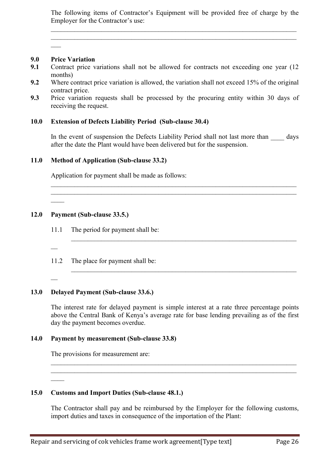The following items of Contractor's Equipment will be provided free of charge by the Employer for the Contractor's use:

 $\_$  , and the set of the set of the set of the set of the set of the set of the set of the set of the set of the set of the set of the set of the set of the set of the set of the set of the set of the set of the set of th  $\_$  , and the set of the set of the set of the set of the set of the set of the set of the set of the set of the set of the set of the set of the set of the set of the set of the set of the set of the set of the set of th

### 9.0 Price Variation

 $\overline{\phantom{a}}$ 

- 9.1 Contract price variations shall not be allowed for contracts not exceeding one year (12 months)
- 9.2 Where contract price variation is allowed, the variation shall not exceed 15% of the original contract price.
- 9.3 Price variation requests shall be processed by the procuring entity within 30 days of receiving the request.

### 10.0 Extension of Defects Liability Period (Sub-clause 30.4)

In the event of suspension the Defects Liability Period shall not last more than days after the date the Plant would have been delivered but for the suspension.

 $\_$  , and the set of the set of the set of the set of the set of the set of the set of the set of the set of the set of the set of the set of the set of the set of the set of the set of the set of the set of the set of th  $\_$  , and the set of the set of the set of the set of the set of the set of the set of the set of the set of the set of the set of the set of the set of the set of the set of the set of the set of the set of the set of th

 $\_$  , and the set of the set of the set of the set of the set of the set of the set of the set of the set of the set of the set of the set of the set of the set of the set of the set of the set of the set of the set of th

 $\_$  , and the set of the set of the set of the set of the set of the set of the set of the set of the set of the set of the set of the set of the set of the set of the set of the set of the set of the set of the set of th

### 11.0 Method of Application (Sub-clause 33.2)

Application for payment shall be made as follows:

### 12.0 Payment (Sub-clause 33.5.)

- 11.1 The period for payment shall be:
- 11.2 The place for payment shall be:
- $\overline{a}$

 $\overline{\phantom{a}}$ 

 $\overline{a}$ 

 $\overline{\phantom{a}}$ 

### 13.0 Delayed Payment (Sub-clause 33.6.)

The interest rate for delayed payment is simple interest at a rate three percentage points above the Central Bank of Kenya's average rate for base lending prevailing as of the first day the payment becomes overdue.

 $\_$  , and the set of the set of the set of the set of the set of the set of the set of the set of the set of the set of the set of the set of the set of the set of the set of the set of the set of the set of the set of th  $\_$  , and the set of the set of the set of the set of the set of the set of the set of the set of the set of the set of the set of the set of the set of the set of the set of the set of the set of the set of the set of th

#### 14.0 Payment by measurement (Sub-clause 33.8)

The provisions for measurement are:

### 15.0 Customs and Import Duties (Sub-clause 48.1.)

The Contractor shall pay and be reimbursed by the Employer for the following customs, import duties and taxes in consequence of the importation of the Plant: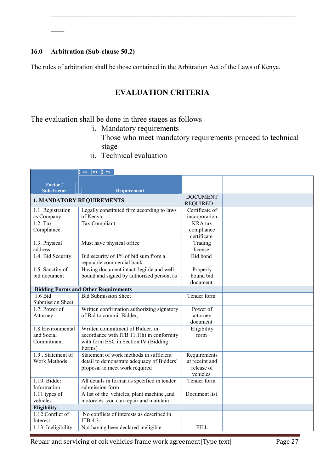### 16.0 Arbitration (Sub-clause 50.2)

 $\overline{\phantom{a}}$ 

The rules of arbitration shall be those contained in the Arbitration Act of the Laws of Kenya.

### EVALUATION CRITERIA

 $\_$  , and the set of the set of the set of the set of the set of the set of the set of the set of the set of the set of the set of the set of the set of the set of the set of the set of the set of the set of the set of th  $\_$  , and the set of the set of the set of the set of the set of the set of the set of the set of the set of the set of the set of the set of the set of the set of the set of the set of the set of the set of the set of th

The evaluation shall be done in three stages as follows

- i. Mandatory requirements
	- Those who meet mandatory requirements proceed to technical stage
- ii. Technical evaluation

|                         | $\mathbf{B}$ $\rightarrow$<br>$\begin{array}{c} 2 \\ 1 \end{array}$ |                 |  |
|-------------------------|---------------------------------------------------------------------|-----------------|--|
| Factor /                |                                                                     |                 |  |
| <b>Sub-Factor</b>       | <b>Requirement</b>                                                  |                 |  |
|                         | <b>1. MANDATORY REQUIREMENTS</b>                                    | <b>DOCUMENT</b> |  |
|                         |                                                                     | <b>REQUIRED</b> |  |
| 1.1. Registration       | Legally constituted firm according to laws                          | Certificate of  |  |
| as Company              | of Kenya                                                            | incorporation   |  |
| $1.2.$ Tax              | <b>Tax Compliant</b>                                                | <b>KRA</b> tax  |  |
| Compliance              |                                                                     | compliance      |  |
|                         |                                                                     | certificate     |  |
| 1.3. Physical           | Must have physical office                                           | Trading         |  |
| address                 |                                                                     | license         |  |
| 1.4. Bid Security       | Bid security of 1% of bid sum from a                                | <b>Bid bond</b> |  |
|                         | reputable commercial bank                                           |                 |  |
| 1.5. Sanctity of        | Having document intact, legible and well                            | Properly        |  |
| bid document            | bound and signed by authorized person, as                           | bound bid       |  |
|                         |                                                                     | document        |  |
|                         | <b>Bidding Forms and Other Requirements</b>                         |                 |  |
| $.1.6$ Bid              | <b>Bid Submission Sheet</b>                                         | Tender form     |  |
| <b>Submission Sheet</b> |                                                                     |                 |  |
| $1.7.$ Power of         | Written confirmation authorizing signatory                          | Power of        |  |
| Attorney                | of Bid to commit Bidder,                                            | attorney        |  |
|                         |                                                                     | document        |  |
| 1.8 Environmental       | Written commitment of Bidder, in                                    | Eligibility     |  |
| and Social              | accordance with ITB 11.1(h) in conformity                           | form            |  |
| Commitment              | with form ESC in Section IV (Bidding                                |                 |  |
|                         | Forms)                                                              |                 |  |
| 1.9 Statement of        | Statement of work methods in sufficient                             | Requirements    |  |
| Work Methods            | detail to demonstrate adequacy of Bidders'                          | at receipt and  |  |
|                         | proposal to meet work required                                      | release of      |  |
|                         |                                                                     | vehicles        |  |
| $1,10.$ Bidder          | All details in format as specified in tender                        | Tender form     |  |
| Information             | submission form                                                     |                 |  |
| $1.11$ types of         | A list of the vehicles, plant machine, and                          | Document list   |  |
| vehicles                | motorcles you can repair and maintain                               |                 |  |
| Eligibility             |                                                                     |                 |  |
| 1.12 Conflict of        | No conflicts of interests as described in                           |                 |  |
| Interest                | ITB 4.3.                                                            |                 |  |
| 1.13 Ineligibility      | Not having been declared ineligible.                                | <b>FILL</b>     |  |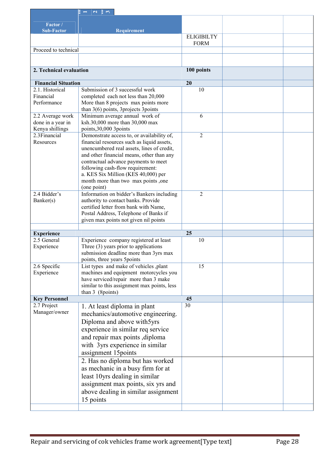|                            | E<br>$\alpha \parallel \alpha$<br>$\overline{\phantom{0}}$                        |                                  |  |
|----------------------------|-----------------------------------------------------------------------------------|----------------------------------|--|
| Factor /                   |                                                                                   |                                  |  |
| <b>Sub-Factor</b>          | <b>Requirement</b>                                                                |                                  |  |
|                            |                                                                                   | <b>ELIGIBILTY</b><br><b>FORM</b> |  |
| Proceed to technical       |                                                                                   |                                  |  |
|                            |                                                                                   |                                  |  |
| 2. Technical evaluation    |                                                                                   | 100 points                       |  |
| <b>Financial Situation</b> |                                                                                   | 20                               |  |
| 2.1. Historical            | Submission of 3 successful work                                                   | 10                               |  |
| Financial                  | completed each not less than 20,000                                               |                                  |  |
| Performance                | More than 8 projects max points more<br>than $3(6)$ points, 3 projects 3 points   |                                  |  |
| 2.2 Average work           | Minimum average annual work of                                                    | 6                                |  |
| done in a year in          | ksh.30,000 more than 30,000 max                                                   |                                  |  |
| Kenya shillings            | points, 30,000 3points                                                            |                                  |  |
| 2.3Financial               | Demonstrate access to, or availability of,                                        | $\overline{2}$                   |  |
| Resources                  | financial resources such as liquid assets,                                        |                                  |  |
|                            | unencumbered real assets, lines of credit,                                        |                                  |  |
|                            | and other financial means, other than any<br>contractual advance payments to meet |                                  |  |
|                            | following cash-flow requirement:                                                  |                                  |  |
|                            | a. KES Six Million (KES 40,000) per                                               |                                  |  |
|                            | month more than two max points, one                                               |                                  |  |
|                            | (one point)                                                                       |                                  |  |
| 2.4 Bidder's               | Information on bidder's Bankers including                                         | $\overline{2}$                   |  |
| Banker(s)                  | authority to contact banks. Provide                                               |                                  |  |
|                            | certified letter from bank with Name,<br>Postal Address, Telephone of Banks if    |                                  |  |
|                            | given max points not given nil points                                             |                                  |  |
|                            |                                                                                   |                                  |  |
| <b>Experience</b>          |                                                                                   | 25                               |  |
| 2.5 General                | Experience company registered at least                                            | 10                               |  |
| Experience                 | Three $(3)$ years prior to applications                                           |                                  |  |
|                            | submission deadline more than 3yrs max                                            |                                  |  |
| 2.6 Specific               | points, three years 5points<br>List types and make of vehicles ,plant             | $\overline{15}$                  |  |
| Experience                 | machines and equipment motorcycles you                                            |                                  |  |
|                            | have serviced/repair more than 3 make                                             |                                  |  |
|                            | similar to this assignment max points, less                                       |                                  |  |
|                            | than $3$ (8 points)                                                               |                                  |  |
| <b>Key Personnel</b>       |                                                                                   | 45                               |  |
| 2.7 Project                | 1. At least diploma in plant                                                      | 30                               |  |
| Manager/owner              | mechanics/automotive engineering.                                                 |                                  |  |
|                            | Diploma and above with5yrs                                                        |                                  |  |
|                            | experience in similar req service                                                 |                                  |  |
|                            | and repair max points , diploma                                                   |                                  |  |
|                            | with 3yrs experience in similar                                                   |                                  |  |
|                            | assignment 15 points                                                              |                                  |  |
|                            | 2. Has no diploma but has worked                                                  |                                  |  |
|                            | as mechanic in a busy firm for at                                                 |                                  |  |
|                            | least 10yrs dealing in similar                                                    |                                  |  |
|                            | assignment max points, six yrs and                                                |                                  |  |
|                            | above dealing in similar assignment                                               |                                  |  |
|                            | 15 points                                                                         |                                  |  |
|                            |                                                                                   |                                  |  |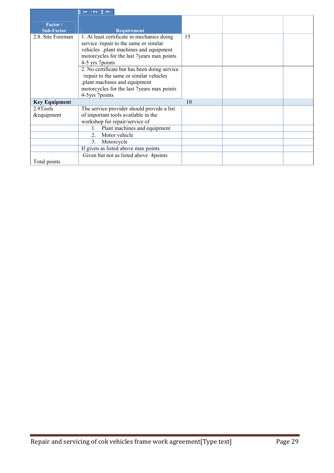|                               | $ a $ $\approx$<br>E.<br>$\overline{\phantom{0}}$                                                                                                                                               |    |  |
|-------------------------------|-------------------------------------------------------------------------------------------------------------------------------------------------------------------------------------------------|----|--|
|                               |                                                                                                                                                                                                 |    |  |
| Factor /<br><b>Sub-Factor</b> | Requirement                                                                                                                                                                                     |    |  |
| 2.8. Site Foreman             | 1. At least certificate in mechanics doing<br>service /repair to the same or similar<br>vehicles ,plant machines and equipment<br>motorcycles for the last 7years max points<br>4-5 yrs 7points | 15 |  |
|                               | 2. No certificate but has been doing service<br>/repair to the same or similar vehicles<br>,plant machines and equipment<br>motorcycles for the last 7years max points<br>4-5yrs 7points        |    |  |
| <b>Key Equipment</b>          |                                                                                                                                                                                                 | 10 |  |
| 2.9Tools                      | The service provider should provide a list                                                                                                                                                      |    |  |
| &equipment                    | of important tools available in the<br>workshop for repair/service of                                                                                                                           |    |  |
|                               | Plant machines and equipment                                                                                                                                                                    |    |  |
|                               | Motor vehicle<br>$\mathfrak{D}$                                                                                                                                                                 |    |  |
|                               | 3 <sub>1</sub><br>Motorcycle                                                                                                                                                                    |    |  |
|                               | If given as listed above max points                                                                                                                                                             |    |  |
|                               | Given but not as listed above 4points                                                                                                                                                           |    |  |
| Total points                  |                                                                                                                                                                                                 |    |  |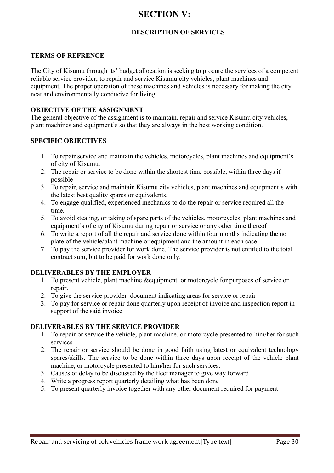### SECTION V:

### DESCRIPTION OF SERVICES

### TERMS OF REFRENCE

The City of Kisumu through its' budget allocation is seeking to procure the services of a competent reliable service provider, to repair and service Kisumu city vehicles, plant machines and equipment. The proper operation of these machines and vehicles is necessary for making the city neat and environmentally conducive for living.

### OBJECTIVE OF THE ASSIGNMENT

The general objective of the assignment is to maintain, repair and service Kisumu city vehicles, plant machines and equipment's so that they are always in the best working condition.

### SPECIFIC OBJECTIVES

- 1. To repair service and maintain the vehicles, motorcycles, plant machines and equipment's of city of Kisumu.
- 2. The repair or service to be done within the shortest time possible, within three days if possible
- 3. To repair, service and maintain Kisumu city vehicles, plant machines and equipment's with the latest best quality spares or equivalents.
- 4. To engage qualified, experienced mechanics to do the repair or service required all the time.
- 5. To avoid stealing, or taking of spare parts of the vehicles, motorcycles, plant machines and equipment's of city of Kisumu during repair or service or any other time thereof
- 6. To write a report of all the repair and service done within four months indicating the no plate of the vehicle/plant machine or equipment and the amount in each case
- 7. To pay the service provider for work done. The service provider is not entitled to the total contract sum, but to be paid for work done only.

### DELIVERABLES BY THE EMPLOYER

- 1. To present vehicle, plant machine &equipment, or motorcycle for purposes of service or repair.
- 2. To give the service provider document indicating areas for service or repair
- 3. To pay for service or repair done quarterly upon receipt of invoice and inspection report in support of the said invoice

### DELIVERABLES BY THE SERVICE PROVIDER

- 1. To repair or service the vehicle, plant machine, or motorcycle presented to him/her for such services
- 2. The repair or service should be done in good faith using latest or equivalent technology spares/skills. The service to be done within three days upon receipt of the vehicle plant machine, or motorcycle presented to him/her for such services.
- 3. Causes of delay to be discussed by the fleet manager to give way forward
- 4. Write a progress report quarterly detailing what has been done
- 5. To present quarterly invoice together with any other document required for payment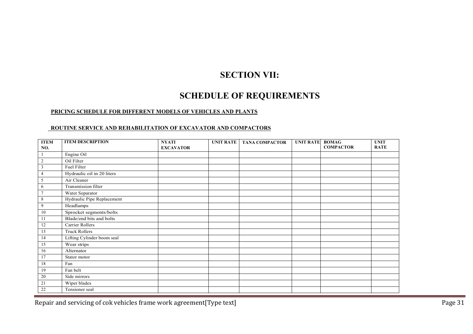### SECTION VII:

### SCHEDULE OF REQUIREMENTS

#### PRICING SCHEDULE FOR DIFFERENT MODELS OF VEHICLES AND PLANTS

#### ROUTINE SERVICE AND REHABILITATION OF EXCAVATOR AND COMPACTORS

| <b>ITEM</b>     | <b>ITEM DESCRIPTION</b>    | <b>NYATI</b>     | <b>UNIT RATE</b> | <b>TANA COMPACTOR</b> | <b>UNIT RATE</b> | <b>BOMAG</b>     | <b>UNIT</b> |
|-----------------|----------------------------|------------------|------------------|-----------------------|------------------|------------------|-------------|
| NO.             |                            | <b>EXCAVATOR</b> |                  |                       |                  | <b>COMPACTOR</b> | <b>RATE</b> |
|                 | Engine Oil                 |                  |                  |                       |                  |                  |             |
| $\overline{2}$  | Oil Filter                 |                  |                  |                       |                  |                  |             |
| $\mathfrak{Z}$  | Fuel Filter                |                  |                  |                       |                  |                  |             |
| $\overline{4}$  | Hydraulic oil in 20 liters |                  |                  |                       |                  |                  |             |
| 5               | Air Cleaner                |                  |                  |                       |                  |                  |             |
| 6               | Transmission filter        |                  |                  |                       |                  |                  |             |
| $\overline{7}$  | Water Separator            |                  |                  |                       |                  |                  |             |
| 8               | Hydraulic Pipe Replacement |                  |                  |                       |                  |                  |             |
| 9               | Headlamps                  |                  |                  |                       |                  |                  |             |
| 10              | Sprocket segments/bolts    |                  |                  |                       |                  |                  |             |
| 11              | Blade/end bits and bolts   |                  |                  |                       |                  |                  |             |
| 12              | Carrier Rollers            |                  |                  |                       |                  |                  |             |
| 13              | <b>Truck Rollers</b>       |                  |                  |                       |                  |                  |             |
| 14              | Lifting Cylinder boom seal |                  |                  |                       |                  |                  |             |
| 15              | Wear strips                |                  |                  |                       |                  |                  |             |
| 16              | Alternator                 |                  |                  |                       |                  |                  |             |
| $\overline{17}$ | Stator motor               |                  |                  |                       |                  |                  |             |
| 18              | Fan                        |                  |                  |                       |                  |                  |             |
| 19              | Fan belt                   |                  |                  |                       |                  |                  |             |
| 20              | Side mirrors               |                  |                  |                       |                  |                  |             |
| 21              | Wiper blades               |                  |                  |                       |                  |                  |             |
| 22              | Tensioner seal             |                  |                  |                       |                  |                  |             |

Repair and servicing of cok vehicles frame work agreement[Type text] example 20 and the state of the Page 31 and Servicing of cok vehicles frame work agreement[Type text]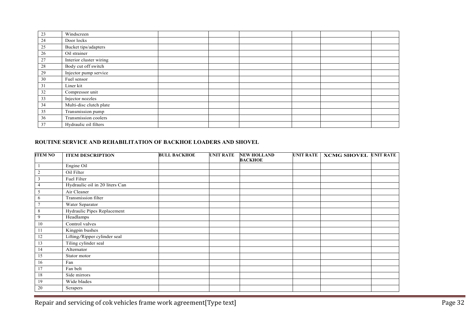| 23 | Windscreen              |  |  |  |
|----|-------------------------|--|--|--|
| 24 | Door locks              |  |  |  |
| 25 | Bucket tips/adapters    |  |  |  |
| 26 | Oil strainer            |  |  |  |
| 27 | Interior cluster wiring |  |  |  |
| 28 | Body cut off switch     |  |  |  |
| 29 | Injector pump service   |  |  |  |
| 30 | Fuel sensor             |  |  |  |
| 31 | Liner kit               |  |  |  |
| 32 | Compressor unit         |  |  |  |
| 33 | Injector nozzles        |  |  |  |
| 34 | Multi-disc clutch plate |  |  |  |
| 35 | Transmission pump       |  |  |  |
| 36 | Transmission coolers    |  |  |  |
| 37 | Hydraulic oil filters   |  |  |  |

#### ROUTINE SERVICE AND REHABILITATION OF BACKHOE LOADERS AND SHOVEL

| <b>ITEM NO</b>  | <b>ITEM DESCRIPTION</b>        | <b>BULL BACKHOE</b> | <b>UNIT RATE</b> | <b>NEW HOLLAND</b> | <b>UNIT RATE</b> | <b>XCMG SHOVEL UNIT RATE</b> |  |
|-----------------|--------------------------------|---------------------|------------------|--------------------|------------------|------------------------------|--|
|                 |                                |                     |                  | <b>BACKHOE</b>     |                  |                              |  |
|                 | Engine Oil                     |                     |                  |                    |                  |                              |  |
| $\sqrt{2}$      | Oil Filter                     |                     |                  |                    |                  |                              |  |
| $\mathfrak z$   | Fuel Filter                    |                     |                  |                    |                  |                              |  |
| $\overline{4}$  | Hydraulic oil in 20 liters Can |                     |                  |                    |                  |                              |  |
| $\sqrt{5}$      | Air Cleaner                    |                     |                  |                    |                  |                              |  |
| 6               | Transmission filter            |                     |                  |                    |                  |                              |  |
| $\overline{7}$  | Water Separator                |                     |                  |                    |                  |                              |  |
| $\,$ 8 $\,$     | Hydraulic Pipes Replacement    |                     |                  |                    |                  |                              |  |
| 9               | Headlamps                      |                     |                  |                    |                  |                              |  |
| $10\,$          | Control valves                 |                     |                  |                    |                  |                              |  |
| 11              | Kingpin bushes                 |                     |                  |                    |                  |                              |  |
| 12              | Lifting/Ripper cylinder seal   |                     |                  |                    |                  |                              |  |
| 13              | Tiling cylinder seal           |                     |                  |                    |                  |                              |  |
| 14              | Alternator                     |                     |                  |                    |                  |                              |  |
| $\overline{15}$ | Stator motor                   |                     |                  |                    |                  |                              |  |
| 16              | Fan                            |                     |                  |                    |                  |                              |  |
| 17              | Fan belt                       |                     |                  |                    |                  |                              |  |
| $18\,$          | Side mirrors                   |                     |                  |                    |                  |                              |  |
| 19              | Wide blades                    |                     |                  |                    |                  |                              |  |
| 20              | Scrapers                       |                     |                  |                    |                  |                              |  |

Repair and servicing of cok vehicles frame work agreement[Type text] Page 32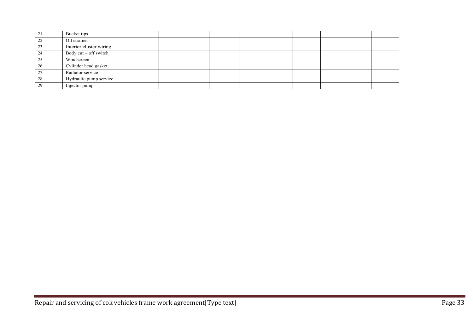| $\bigcap$ 1   | Bucket tips             |  |  |  |
|---------------|-------------------------|--|--|--|
| $\mathcal{D}$ | Oil strainer            |  |  |  |
| 23            | Interior cluster wiring |  |  |  |
| 24            | Body $cut - off$ switch |  |  |  |
| 25            | Windscreen              |  |  |  |
| 26            | Cylinder head gasket    |  |  |  |
| $\gamma$      | Radiator service        |  |  |  |
| 28            | Hydraulic pump service  |  |  |  |
| 29            | Injector pump           |  |  |  |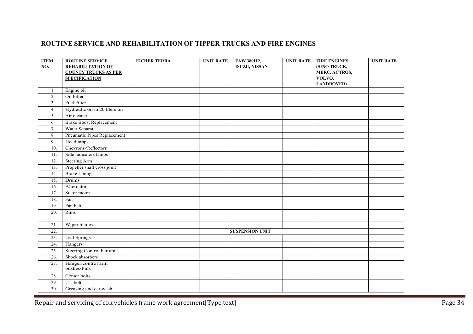### ROUTINE SERVICE AND REHABILITATION OF TIPPER TRUCKS AND FIRE ENGINES

| <b>ITEM</b>       | <b>ROUTINE SERVICE</b>            | <b>EICHER TERRA</b> | <b>UNIT RATE</b> | <b>FAW 380HP,</b>      | <b>UNIT RATE</b> | <b>FIRE ENGINES</b>  | <b>UNIT RATE</b> |
|-------------------|-----------------------------------|---------------------|------------------|------------------------|------------------|----------------------|------------------|
| NO.               | <b>REHABILITATION OF</b>          |                     |                  | <b>ISUZU, NISSAN</b>   |                  | (SINO TRUCK,         |                  |
|                   | <b>COUNTY TRUCKS AS PER</b>       |                     |                  |                        |                  | <b>MERC. ACTROS,</b> |                  |
|                   | <b>SPECIFICATION</b>              |                     |                  |                        |                  | VOLVO,               |                  |
|                   |                                   |                     |                  |                        |                  | <b>LANDROVER)</b>    |                  |
| 1.                | Engine oil                        |                     |                  |                        |                  |                      |                  |
| 2.                | Oil Filter                        |                     |                  |                        |                  |                      |                  |
| 3.                | Fuel Filter                       |                     |                  |                        |                  |                      |                  |
| 4.                | Hydraulic oil in 20 liters tin    |                     |                  |                        |                  |                      |                  |
| 5.                | Air cleaner                       |                     |                  |                        |                  |                      |                  |
| 6.                | <b>Brake Boost Replacement</b>    |                     |                  |                        |                  |                      |                  |
| 7.                | Water Separate                    |                     |                  |                        |                  |                      |                  |
| 8.                | Pneumatic Pipes Replacement       |                     |                  |                        |                  |                      |                  |
| 9.                | Headlamps                         |                     |                  |                        |                  |                      |                  |
| 10.               | Chevrons/Reflectors               |                     |                  |                        |                  |                      |                  |
| 11.               | Side indicators lamps             |                     |                  |                        |                  |                      |                  |
| 12.               | Steering Arm                      |                     |                  |                        |                  |                      |                  |
| $\overline{13}$ . | Propeller shaft cross joint       |                     |                  |                        |                  |                      |                  |
| 14.               | <b>Brake Linings</b>              |                     |                  |                        |                  |                      |                  |
| 15.               | Drums                             |                     |                  |                        |                  |                      |                  |
| 16.               | Alternator                        |                     |                  |                        |                  |                      |                  |
| 17.               | Stator motor                      |                     |                  |                        |                  |                      |                  |
| 18.               | Fan                               |                     |                  |                        |                  |                      |                  |
| 19.               | Fan belt                          |                     |                  |                        |                  |                      |                  |
| 20.               | Rims                              |                     |                  |                        |                  |                      |                  |
|                   |                                   |                     |                  |                        |                  |                      |                  |
| 21.               | Wiper blades                      |                     |                  |                        |                  |                      |                  |
| 22.               |                                   |                     |                  | <b>SUSPENSION UNIT</b> |                  |                      |                  |
| 23.               | Leaf Springs                      |                     |                  |                        |                  |                      |                  |
| 24.               | Hangers                           |                     |                  |                        |                  |                      |                  |
| 25.               | Steering Control bar unit         |                     |                  |                        |                  |                      |                  |
| 26.               | Shock absorbers                   |                     |                  |                        |                  |                      |                  |
| 27.               | Hanger/control arm<br>bushes/Pins |                     |                  |                        |                  |                      |                  |
| 28.               | Center bolts                      |                     |                  |                        |                  |                      |                  |
| 29.               | $U - bolt$                        |                     |                  |                        |                  |                      |                  |
| 30.               | Greasing and car wash             |                     |                  |                        |                  |                      |                  |

Repair and servicing of cok vehicles frame work agreement[Type text] Page 34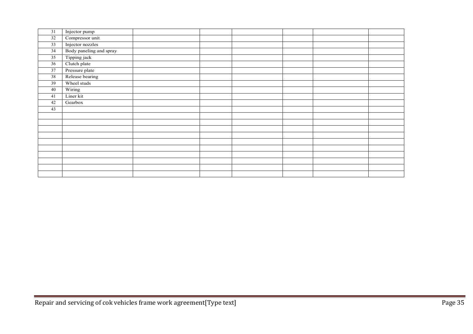| 31              | Injector pump           |  |  |  |
|-----------------|-------------------------|--|--|--|
| 32              | Compressor unit         |  |  |  |
| $\overline{33}$ | Injector nozzles        |  |  |  |
| 34              | Body paneling and spray |  |  |  |
| 35              | Tipping jack            |  |  |  |
| 36              | Clutch plate            |  |  |  |
| 37              | Pressure plate          |  |  |  |
| 38              | Release bearing         |  |  |  |
| 39              | Wheel studs             |  |  |  |
| 40              | Wiring                  |  |  |  |
| 41              | Liner kit               |  |  |  |
| 42              | Gearbox                 |  |  |  |
| 43              |                         |  |  |  |
|                 |                         |  |  |  |
|                 |                         |  |  |  |
|                 |                         |  |  |  |
|                 |                         |  |  |  |
|                 |                         |  |  |  |
|                 |                         |  |  |  |
|                 |                         |  |  |  |
|                 |                         |  |  |  |
|                 |                         |  |  |  |
|                 |                         |  |  |  |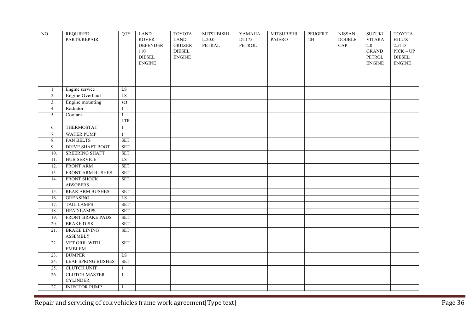| NO               | <b>REQUIRED</b>                | QTY                  | <b>LAND</b>     | <b>TOYOTA</b>  | <b>MITSUBISHI</b> | YAMAHA | <b>MITSUBISHI</b> | PEUGERT | <b>NISSAN</b> | <b>SUZUKI</b> | <b>TOYOTA</b> |
|------------------|--------------------------------|----------------------|-----------------|----------------|-------------------|--------|-------------------|---------|---------------|---------------|---------------|
|                  | PARTS/REPAIR                   |                      | <b>ROVER</b>    | <b>LAND</b>    | $L.20.0$          | DT175  | <b>PAJERO</b>     | 504     | <b>DOUBLE</b> | <b>VITARA</b> | <b>HILUX</b>  |
|                  |                                |                      | <b>DEFENDER</b> | <b>CRUZER</b>  | PETRAL            | PETROL |                   |         | CAP           | $2.0\,$       | 2.5TD         |
|                  |                                |                      | 110             | ${\rm DIESEL}$ |                   |        |                   |         |               | <b>GRAND</b>  | $PICK - UP$   |
|                  |                                |                      | <b>DIESEL</b>   | <b>ENGINE</b>  |                   |        |                   |         |               | <b>PETROL</b> | <b>DIESEL</b> |
|                  |                                |                      | <b>ENGINE</b>   |                |                   |        |                   |         |               | <b>ENGINE</b> | <b>ENGINE</b> |
|                  |                                |                      |                 |                |                   |        |                   |         |               |               |               |
|                  |                                |                      |                 |                |                   |        |                   |         |               |               |               |
| 1.               | Engine service                 | ${\rm LS}$           |                 |                |                   |        |                   |         |               |               |               |
| 2.               | Engine Overhaul                | LS                   |                 |                |                   |        |                   |         |               |               |               |
| 3.               | Engine mounting                | set                  |                 |                |                   |        |                   |         |               |               |               |
| $\overline{4}$ . | Radiator                       | $\mathbf{1}$         |                 |                |                   |        |                   |         |               |               |               |
| 5.               | Coolant                        | $\mathbf{1}$         |                 |                |                   |        |                   |         |               |               |               |
|                  |                                | <b>LTR</b>           |                 |                |                   |        |                   |         |               |               |               |
| 6.               | <b>THERMOSTAT</b>              | 1                    |                 |                |                   |        |                   |         |               |               |               |
| 7.               | <b>WATER PUMP</b>              | 1                    |                 |                |                   |        |                   |         |               |               |               |
| 8.               | <b>FAN BELTS</b>               | <b>SET</b>           |                 |                |                   |        |                   |         |               |               |               |
| 9.               | <b>DRIVE SHAFT BOOT</b>        | <b>SET</b>           |                 |                |                   |        |                   |         |               |               |               |
| 10.              | <b>SREERING SHAFT</b>          | <b>SET</b>           |                 |                |                   |        |                   |         |               |               |               |
| 11.              | <b>HUB SERVICE</b>             | LS                   |                 |                |                   |        |                   |         |               |               |               |
| 12.              | <b>FRONT ARM</b>               | <b>SET</b>           |                 |                |                   |        |                   |         |               |               |               |
| 13.              | FRONT ARM BUSHES               | <b>SET</b>           |                 |                |                   |        |                   |         |               |               |               |
| 14.              | <b>FRONT SHOCK</b>             | <b>SET</b>           |                 |                |                   |        |                   |         |               |               |               |
|                  | <b>ABSOBERS</b>                |                      |                 |                |                   |        |                   |         |               |               |               |
| 15.              | <b>REAR ARM BUSHES</b>         | <b>SET</b>           |                 |                |                   |        |                   |         |               |               |               |
| 16.              | <b>GREASING</b>                | LS                   |                 |                |                   |        |                   |         |               |               |               |
| 17.              | <b>TAIL LAMPS</b>              | <b>SET</b>           |                 |                |                   |        |                   |         |               |               |               |
| 18.              | <b>HEAD LAMPS</b>              | <b>SET</b>           |                 |                |                   |        |                   |         |               |               |               |
| 19.              | <b>FRONT BRAKE PADS</b>        | $\operatorname{SET}$ |                 |                |                   |        |                   |         |               |               |               |
| 20.              | <b>BRAKE DISK</b>              | <b>SET</b>           |                 |                |                   |        |                   |         |               |               |               |
| 21.              | <b>BRAKE LINING</b>            | $\operatorname{SET}$ |                 |                |                   |        |                   |         |               |               |               |
|                  | <b>ASSEMBLY</b>                |                      |                 |                |                   |        |                   |         |               |               |               |
| 22.              | VET GRIL WITH                  | <b>SET</b>           |                 |                |                   |        |                   |         |               |               |               |
|                  | <b>EMBLEM</b><br><b>BUMPER</b> |                      |                 |                |                   |        |                   |         |               |               |               |
| 23.              | <b>LEAF SPRING BUSHES</b>      | LS.                  |                 |                |                   |        |                   |         |               |               |               |
| 24.<br>25.       | <b>CLUTCH UNIT</b>             | <b>SET</b>           |                 |                |                   |        |                   |         |               |               |               |
| 26.              | <b>CLUTCH MASTER</b>           | 1<br>1               |                 |                |                   |        |                   |         |               |               |               |
|                  | <b>CYLINDER</b>                |                      |                 |                |                   |        |                   |         |               |               |               |
| 27.              |                                | 1                    |                 |                |                   |        |                   |         |               |               |               |
|                  | <b>INJECTOR PUMP</b>           |                      |                 |                |                   |        |                   |         |               |               |               |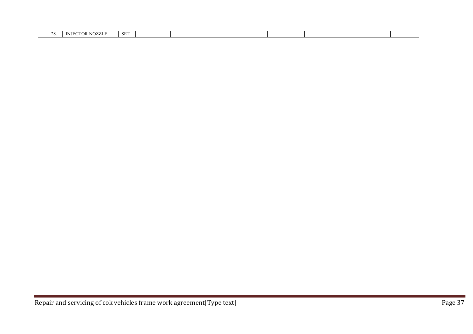| TX.<br>. . | SE. |  |  |  |  |  |
|------------|-----|--|--|--|--|--|
|            |     |  |  |  |  |  |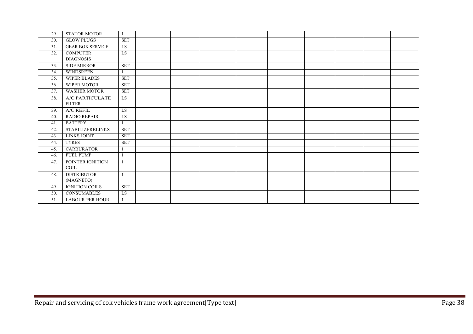| 29. | <b>STATOR MOTOR</b>     |              |  |  |  |  |  |
|-----|-------------------------|--------------|--|--|--|--|--|
| 30. | <b>GLOW PLUGS</b>       | <b>SET</b>   |  |  |  |  |  |
| 31. | <b>GEAR BOX SERVICE</b> | <b>LS</b>    |  |  |  |  |  |
| 32. | <b>COMPUTER</b>         | LS           |  |  |  |  |  |
|     | <b>DIAGNOSIS</b>        |              |  |  |  |  |  |
| 33. | <b>SIDE MIRROR</b>      | <b>SET</b>   |  |  |  |  |  |
| 34. | <b>WINDSREEN</b>        |              |  |  |  |  |  |
| 35. | <b>WIPER BLADES</b>     | <b>SET</b>   |  |  |  |  |  |
| 36. | <b>WIPER MOTOR</b>      | <b>SET</b>   |  |  |  |  |  |
| 37. | <b>WASHER MOTOR</b>     | <b>SET</b>   |  |  |  |  |  |
| 38. | A/C PARTICULATE         | LS           |  |  |  |  |  |
|     | <b>FILTER</b>           |              |  |  |  |  |  |
| 39. | <b>A/C REFIL</b>        | <b>LS</b>    |  |  |  |  |  |
| 40. | <b>RADIO REPAIR</b>     | LS           |  |  |  |  |  |
| 41. | <b>BATTERY</b>          |              |  |  |  |  |  |
| 42. | <b>STABILIZERBLINKS</b> | <b>SET</b>   |  |  |  |  |  |
| 43. | <b>LINKS JOINT</b>      | <b>SET</b>   |  |  |  |  |  |
| 44. | <b>TYRES</b>            | <b>SET</b>   |  |  |  |  |  |
| 45. | <b>CARBURATOR</b>       |              |  |  |  |  |  |
| 46. | <b>FUEL PUMP</b>        |              |  |  |  |  |  |
| 47. | POINTER IGNITION        | $\mathbf{1}$ |  |  |  |  |  |
|     | COIL                    |              |  |  |  |  |  |
| 48. | <b>DISTRIBUTOR</b>      |              |  |  |  |  |  |
|     | (MAGNETO)               |              |  |  |  |  |  |
| 49. | <b>IGNITION COILS</b>   | <b>SET</b>   |  |  |  |  |  |
| 50. | <b>CONSUMABLES</b>      | LS           |  |  |  |  |  |
| 51. | <b>LABOUR PER HOUR</b>  |              |  |  |  |  |  |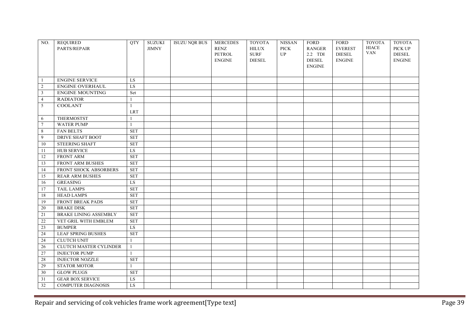| NO.             | <b>REQUIRED</b><br>PARTS/REPAIR | <b>OTY</b>           | <b>SUZUKI</b><br><b>JIMNY</b> | <b>ISUZU NQR BUS</b> | <b>MERCEDES</b><br><b>RENZ</b> | <b>TOYOTA</b><br><b>HILUX</b> | <b>NISSAN</b><br><b>PICK</b> | <b>FORD</b><br><b>RANGER</b> | <b>FORD</b><br><b>EVEREST</b> | <b>TOYOTA</b><br><b>HIACE</b> | <b>TOYOTA</b><br>PICK UP |
|-----------------|---------------------------------|----------------------|-------------------------------|----------------------|--------------------------------|-------------------------------|------------------------------|------------------------------|-------------------------------|-------------------------------|--------------------------|
|                 |                                 |                      |                               |                      | PETROL                         | <b>SURF</b>                   | UP                           | 2.2 TDI                      | <b>DIESEL</b>                 | <b>VAN</b>                    | <b>DIESEL</b>            |
|                 |                                 |                      |                               |                      | <b>ENGINE</b>                  | <b>DIESEL</b>                 |                              | <b>DIESEL</b>                | <b>ENGINE</b>                 |                               | <b>ENGINE</b>            |
|                 |                                 |                      |                               |                      |                                |                               |                              | <b>ENGINE</b>                |                               |                               |                          |
|                 |                                 |                      |                               |                      |                                |                               |                              |                              |                               |                               |                          |
| -1              | <b>ENGINE SERVICE</b>           | LS                   |                               |                      |                                |                               |                              |                              |                               |                               |                          |
| $\overline{2}$  | ENGINE OVERHAUL                 | LS                   |                               |                      |                                |                               |                              |                              |                               |                               |                          |
| $\overline{3}$  | <b>ENGINE MOUNTING</b>          | Set                  |                               |                      |                                |                               |                              |                              |                               |                               |                          |
| $\overline{4}$  | <b>RADIATOR</b>                 | $\mathbf{1}$         |                               |                      |                                |                               |                              |                              |                               |                               |                          |
| 5               | <b>COOLANT</b>                  | $\mathbf{1}$         |                               |                      |                                |                               |                              |                              |                               |                               |                          |
|                 |                                 | <b>LRT</b>           |                               |                      |                                |                               |                              |                              |                               |                               |                          |
| 6               | <b>THERMOSTST</b>               | $\mathbf{1}$         |                               |                      |                                |                               |                              |                              |                               |                               |                          |
| $\tau$          | <b>WATER PUMP</b>               | $\mathbf{1}$         |                               |                      |                                |                               |                              |                              |                               |                               |                          |
| 8               | <b>FAN BELTS</b>                | <b>SET</b>           |                               |                      |                                |                               |                              |                              |                               |                               |                          |
| 9               | <b>DRIVE SHAFT BOOT</b>         | <b>SET</b>           |                               |                      |                                |                               |                              |                              |                               |                               |                          |
| 10              | <b>STEERING SHAFT</b>           | <b>SET</b>           |                               |                      |                                |                               |                              |                              |                               |                               |                          |
| 11              | <b>HUB SERVICE</b>              | LS                   |                               |                      |                                |                               |                              |                              |                               |                               |                          |
| 12              | <b>FRONT ARM</b>                | <b>SET</b>           |                               |                      |                                |                               |                              |                              |                               |                               |                          |
| 13              | FRONT ARM BUSHES                | <b>SET</b>           |                               |                      |                                |                               |                              |                              |                               |                               |                          |
| 14              | FRONT SHOCK ABSORBERS           | <b>SET</b>           |                               |                      |                                |                               |                              |                              |                               |                               |                          |
| 15              | <b>REAR ARM BUSHES</b>          | <b>SET</b>           |                               |                      |                                |                               |                              |                              |                               |                               |                          |
| 16              | <b>GREASING</b>                 | LS                   |                               |                      |                                |                               |                              |                              |                               |                               |                          |
| 17              | <b>TAIL LAMPS</b>               | <b>SET</b>           |                               |                      |                                |                               |                              |                              |                               |                               |                          |
| 18              | <b>HEAD LAMPS</b>               | <b>SET</b>           |                               |                      |                                |                               |                              |                              |                               |                               |                          |
| 19              | <b>FRONT BREAK PADS</b>         | <b>SET</b>           |                               |                      |                                |                               |                              |                              |                               |                               |                          |
| $\overline{20}$ | <b>BRAKE DISK</b>               | <b>SET</b>           |                               |                      |                                |                               |                              |                              |                               |                               |                          |
| $\overline{21}$ | <b>BRAKE LINING ASSEMBLY</b>    | $\operatorname{SET}$ |                               |                      |                                |                               |                              |                              |                               |                               |                          |
| 22              | VET GRIL WITH EMBLEM            | <b>SET</b>           |                               |                      |                                |                               |                              |                              |                               |                               |                          |
| $\overline{23}$ | <b>BUMPER</b>                   | LS                   |                               |                      |                                |                               |                              |                              |                               |                               |                          |
| 24              | <b>LEAF SPRING BUSHES</b>       | <b>SET</b>           |                               |                      |                                |                               |                              |                              |                               |                               |                          |
| 24              | <b>CLUTCH UNIT</b>              | $\mathbf{1}$         |                               |                      |                                |                               |                              |                              |                               |                               |                          |
| 26              | CLUTCH MASTER CYLINDER          | $\mathbf{1}$         |                               |                      |                                |                               |                              |                              |                               |                               |                          |
| 27              | <b>INJECTOR PUMP</b>            | $\mathbf{1}$         |                               |                      |                                |                               |                              |                              |                               |                               |                          |
| 28              | <b>INJECTOR NOZZLE</b>          | <b>SET</b>           |                               |                      |                                |                               |                              |                              |                               |                               |                          |
| 29              | <b>STATOR MOTOR</b>             | $\mathbf{1}$         |                               |                      |                                |                               |                              |                              |                               |                               |                          |
| 30              | <b>GLOW PLUGS</b>               | <b>SET</b>           |                               |                      |                                |                               |                              |                              |                               |                               |                          |
| 31              | <b>GEAR BOX SERVICE</b>         | ${\rm LS}$           |                               |                      |                                |                               |                              |                              |                               |                               |                          |
| $\overline{32}$ | <b>COMPUTER DIAGNOSIS</b>       | LS                   |                               |                      |                                |                               |                              |                              |                               |                               |                          |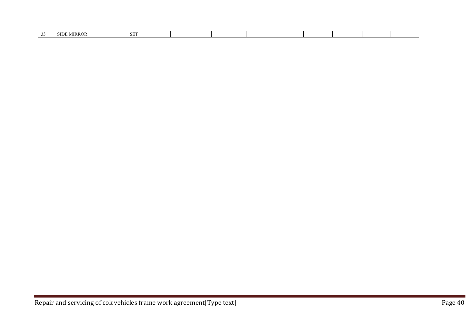| <b>SET</b><br>$\sim$<br><b>SIDF</b><br><b>MIRROR</b> |  |  |  |  |  |  |
|------------------------------------------------------|--|--|--|--|--|--|
|                                                      |  |  |  |  |  |  |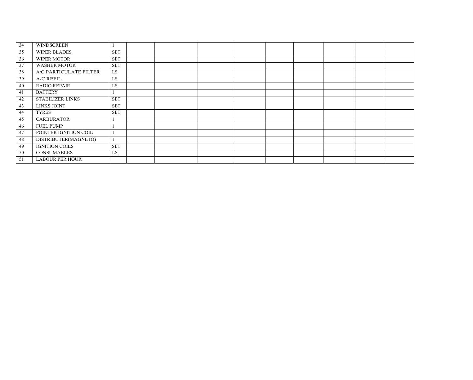| 34 | <b>WINDSCREEN</b>       |            |  |  |  |  |  |
|----|-------------------------|------------|--|--|--|--|--|
| 35 | <b>WIPER BLADES</b>     | <b>SET</b> |  |  |  |  |  |
| 36 | <b>WIPER MOTOR</b>      | <b>SET</b> |  |  |  |  |  |
| 37 | <b>WASHER MOTOR</b>     | <b>SET</b> |  |  |  |  |  |
| 38 | A/C PARTICULATE FILTER  | LS         |  |  |  |  |  |
| 39 | A/C REFIL               | LS         |  |  |  |  |  |
| 40 | <b>RADIO REPAIR</b>     | LS         |  |  |  |  |  |
| 41 | <b>BATTERY</b>          |            |  |  |  |  |  |
| 42 | <b>STABILIZER LINKS</b> | <b>SET</b> |  |  |  |  |  |
| 43 | <b>LINKS JOINT</b>      | <b>SET</b> |  |  |  |  |  |
| 44 | <b>TYRES</b>            | <b>SET</b> |  |  |  |  |  |
| 45 | <b>CARBURATOR</b>       |            |  |  |  |  |  |
| 46 | <b>FUEL PUMP</b>        |            |  |  |  |  |  |
| 47 | POINTER IGNITION COIL   |            |  |  |  |  |  |
| 48 | DISTRIBUTER(MAGNETO)    |            |  |  |  |  |  |
| 49 | <b>IGNITION COILS</b>   | <b>SET</b> |  |  |  |  |  |
| 50 | <b>CONSUMABLES</b>      | <b>LS</b>  |  |  |  |  |  |
| 51 | <b>LABOUR PER HOUR</b>  |            |  |  |  |  |  |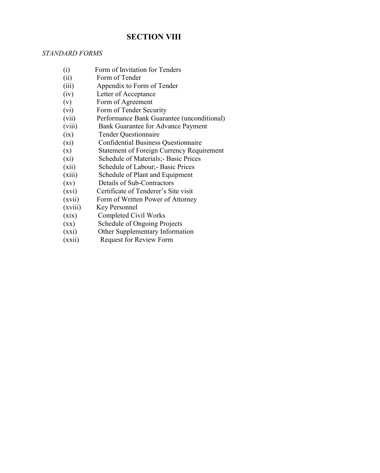### **SECTION VIII**

### *STANDARD FORMS*

- (i) Form of Invitation for Tenders
- (ii) Form of Tender
- (iii) Appendix to Form of Tender<br>(iv) Letter of Acceptance
- (iv) Letter of Acceptance<br>(v) Form of Agreement
- Form of Agreement
- (vi) Form of Tender Security
- (vii) Performance Bank Guarantee (unconditional)<br>(viii) Bank Guarantee for Advance Payment
- Bank Guarantee for Advance Payment
- (ix) Tender Questionnaire
- (xi) Confidential Business Questionnaire
- (x) Statement of Foreign Currency Requirement<br>
(xi) Schedule of Materials; Basic Prices
- Schedule of Materials;- Basic Prices
- (xii) Schedule of Labour;- Basic Prices
- (xiii) Schedule of Plant and Equipment
- (xv) Details of Sub-Contractors
- (xvi) Certificate of Tenderer's Site visit
- (xvii) Form of Written Power of Attorney
- (xviii) Key Personnel
- (xix) Completed Civil Works<br>(xx) Schedule of Ongoing Pro
- Schedule of Ongoing Projects
- (xxi) Other Supplementary Information
- (xxii) Request for Review Form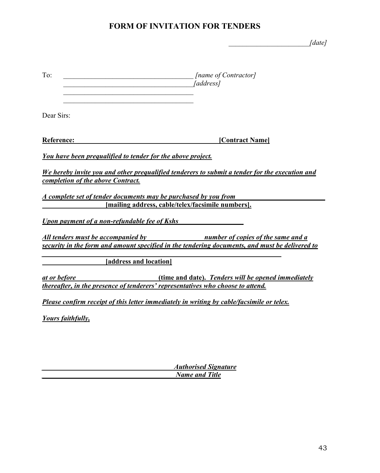### FORM OF INVITATION FOR TENDERS

\_\_\_\_\_\_\_\_\_\_\_\_\_\_\_\_\_\_\_\_\_\_\_*[date]*

| To:                                                                                             | [name of Contractor]<br><i>[address]</i>                                                       |
|-------------------------------------------------------------------------------------------------|------------------------------------------------------------------------------------------------|
| Dear Sirs:                                                                                      |                                                                                                |
| Reference:                                                                                      | [Contract Name]                                                                                |
| You have been prequalified to tender for the above project.                                     |                                                                                                |
| completion of the above Contract.                                                               | We hereby invite you and other prequalified tenderers to submit a tender for the execution and |
| A complete set of tender documents may be purchased by you from                                 |                                                                                                |
|                                                                                                 | [mailing address, cable/telex/facsimile numbers].                                              |
| <b>Upon payment of a non-refundable fee of Kshs</b>                                             |                                                                                                |
|                                                                                                 | All tenders must be accompanied by humber of copies of the same and a                          |
|                                                                                                 | security in the form and amount specified in the tendering documents, and must be delivered to |
| [address and location]                                                                          |                                                                                                |
| at or before<br>thereafter, in the presence of tenderers' representatives who choose to attend. | (time and date). Tenders will be opened immediately                                            |
|                                                                                                 | Please confirm receipt of this letter immediately in writing by cable/facsimile or telex.      |
| <b>Yours faithfully,</b>                                                                        |                                                                                                |

*\_\_\_\_\_\_\_\_\_\_\_\_\_\_\_\_\_\_\_\_\_\_\_\_\_\_\_\_\_\_\_\_\_\_\_\_\_ Authorised Signature \_\_\_\_\_\_\_\_\_\_\_\_\_\_\_\_\_\_\_\_\_\_\_\_\_\_\_\_\_\_\_\_\_\_\_\_\_ Name and Title*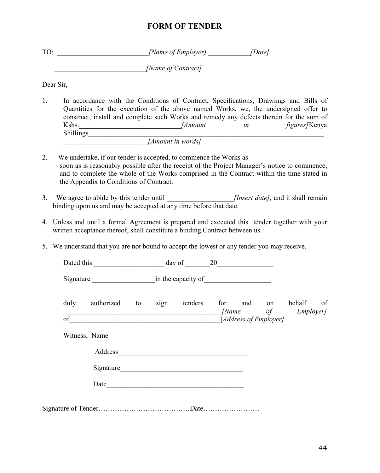### FORM OF TENDER

| TO: | [Name of Employer] | [Date] |
|-----|--------------------|--------|
|     | [Name of Contract] |        |

Dear Sir,

- 1. In accordance with the Conditions of Contract, Specifications, Drawings and Bills of Quantities for the execution of the above named Works, we, the undersigned offer to construct, install and complete such Works and remedy any defects therein for the sum of Kshs.\_\_\_\_\_\_\_\_\_\_\_\_\_\_\_\_\_\_\_\_\_\_\_\_\_\_\_\_\_*[Amount in figures]*Kenya Shillings*\_\_\_\_\_\_\_\_\_\_\_\_\_\_\_\_\_\_\_\_\_\_\_\_\_\_\_\_\_\_\_\_\_\_\_\_\_\_\_\_\_\_\_\_\_\_\_\_\_\_\_\_\_\_\_\_\_\_\_\_\_\_\_\_\_\_\_ \_\_\_\_\_\_\_\_\_\_\_\_\_\_\_\_\_\_\_\_\_\_\_\_[Amount in words]*
- 2. We undertake, if our tender is accepted, to commence the Works as soon as is reasonably possible after the receipt of the Project Manager's notice to commence, and to complete the whole of the Works comprised in the Contract within the time stated in the Appendix to Conditions of Contract.
- 3. We agree to abide by this tender until *Insert date]*, and it shall remain binding upon us and may be accepted at any time before that date.
- 4. Unless and until a formal Agreement is prepared and executed this tender together with your written acceptance thereof, shall constitute a binding Contract between us.
- 5. We understand that you are not bound to accept the lowest or any tender you may receive.

| duly<br>of | authorized    | to | sign tenders           | for and on<br>[Address of Employer] | behalf of<br>[Name of Employer] |
|------------|---------------|----|------------------------|-------------------------------------|---------------------------------|
|            | Witness; Name |    |                        |                                     |                                 |
|            |               |    |                        |                                     |                                 |
|            |               |    | Signature              |                                     |                                 |
|            |               |    | Date <u>experience</u> |                                     |                                 |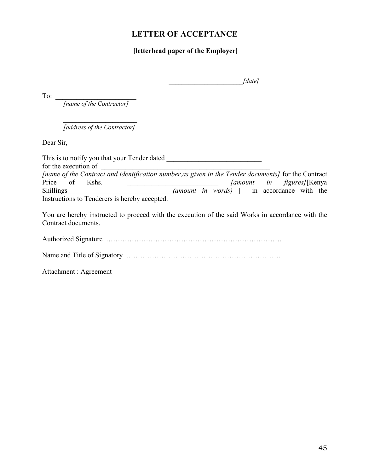### LETTER OF ACCEPTANCE

### [letterhead paper of the Employer]

|  | $\lceil date \rceil$ |
|--|----------------------|
|--|----------------------|

To: \_\_\_\_\_\_\_\_\_\_\_\_\_\_\_\_\_\_\_\_\_\_\_

*[name of the Contractor]*

\_\_\_\_\_\_\_\_\_\_\_\_\_\_\_\_\_\_\_\_\_ *[address of the Contractor]*

Dear Sir,

This is to notify you that your Tender dated \_\_\_\_\_\_\_\_\_\_\_\_\_\_\_\_\_\_\_\_\_\_\_\_\_\_\_ for the execution of \_\_\_\_\_\_\_\_\_\_\_\_\_\_\_\_\_\_\_\_\_\_\_\_\_\_\_\_\_\_\_\_\_\_\_\_\_\_\_\_\_\_\_\_\_\_\_\_ [name of the Contract and identification number, as given in the Tender documents] for the Contract Price of Kshs. <u>\_\_\_\_\_\_\_\_\_\_\_\_\_\_\_\_\_\_\_\_\_\_\_\_\_\_\_</u> *[amount in figures]*[Kenya Shillings *(amount in words)* ] in accordance with the (amount in words) ] in accordance with the Instructions to Tenderers is hereby accepted.

You are hereby instructed to proceed with the execution of the said Works in accordance with the Contract documents.

Authorized Signature …………………………………………………………………

Name and Title of Signatory …………………………………………………………

Attachment : Agreement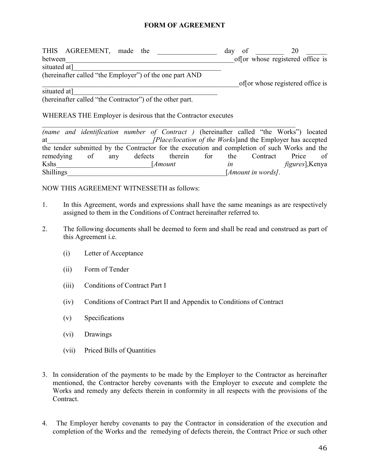### FORM OF AGREEMENT

| THIS AGREEMENT, made the                                | dav<br>0t | 20                               |
|---------------------------------------------------------|-----------|----------------------------------|
| between                                                 |           | of or whose registered office is |
| situated at]                                            |           |                                  |
| (hereinafter called "the Employer") of the one part AND |           |                                  |
|                                                         |           | of or whose registered office is |

situated at]

(hereinafter called "the Contractor") of the other part.

#### WHEREAS THE Employer is desirous that the Contractor executes

|                  |    |     |         | (name and identification number of Contract) (hereinafter called "the Works") located         |     |     |                             |          |                         |    |
|------------------|----|-----|---------|-----------------------------------------------------------------------------------------------|-----|-----|-----------------------------|----------|-------------------------|----|
| at               |    |     |         | [Place/location of the Works] and the Employer has accepted                                   |     |     |                             |          |                         |    |
|                  |    |     |         | the tender submitted by the Contractor for the execution and completion of such Works and the |     |     |                             |          |                         |    |
| remedying        | of | any | defects | therein                                                                                       | for | the |                             | Contract | Price                   | 0f |
| <b>Kshs</b>      |    |     |         | [ <i>Amount</i>                                                                               |     | ın  |                             |          | <i>figures</i> ], Kenya |    |
| <b>Shillings</b> |    |     |         |                                                                                               |     |     | [ <i>Amount in words</i> ]. |          |                         |    |

### NOW THIS AGREEMENT WITNESSETH as follows:

- 1. In this Agreement, words and expressions shall have the same meanings as are respectively assigned to them in the Conditions of Contract hereinafter referred to.
- 2. The following documents shall be deemed to form and shall be read and construed as part of this Agreement i.e.
	- (i) Letter of Acceptance
	- (ii) Form of Tender
	- (iii) Conditions of Contract Part I
	- (iv) Conditions of Contract Part II and Appendix to Conditions of Contract
	- (v) Specifications
	- (vi) Drawings
	- (vii) Priced Bills of Quantities
- 3. In consideration of the payments to be made by the Employer to the Contractor as hereinafter mentioned, the Contractor hereby covenants with the Employer to execute and complete the Works and remedy any defects therein in conformity in all respects with the provisions of the **Contract**
- 4. The Employer hereby covenants to pay the Contractor in consideration of the execution and completion of the Works and the remedying of defects therein, the Contract Price or such other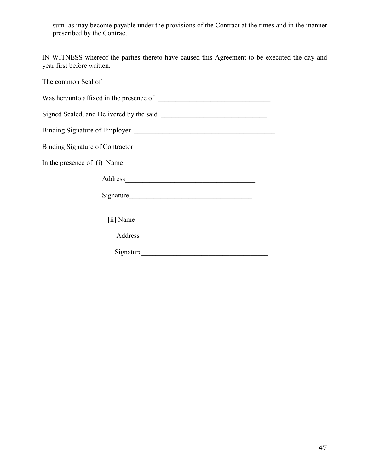sum as may become payable under the provisions of the Contract at the times and in the manner prescribed by the Contract.

IN WITNESS whereof the parties thereto have caused this Agreement to be executed the day and year first before written.

| In the presence of (i) Name |
|-----------------------------|
| Address                     |
|                             |
|                             |
|                             |
| Signature                   |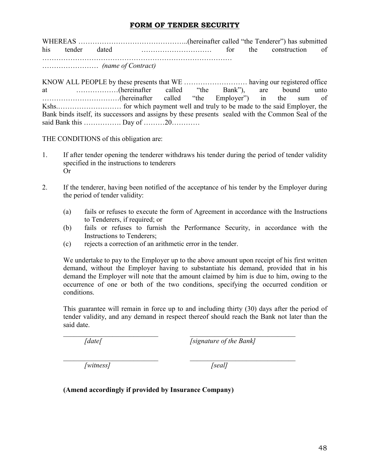### FORM OF TENDER SECURITY

WHEREAS ………………………………………..(hereinafter called "the Tenderer") has submitted his tender dated ………………………… for the construction of ………………………………………………………………………

…………………… *(name of Contract)*

KNOW ALL PEOPLE by these presents that WE ………………………………… having our registered office<br>at (hereinafter called "the Bank") are bound unto at ……………(hereinafter called "the Bank"), are bound unto<br>……………………(hereinafter called "the Employer") in the sum of ……………………………(hereinafter called "the Employer") in the sum of Kshs.……………………… for which payment well and truly to be made to the said Employer, the Bank binds itself, its successors and assigns by these presents sealed with the Common Seal of the said Bank this ……………. Day of ………20…………

THE CONDITIONS of this obligation are:

- 1. If after tender opening the tenderer withdraws his tender during the period of tender validity specified in the instructions to tenderers Or
- 2. If the tenderer, having been notified of the acceptance of his tender by the Employer during the period of tender validity:
	- (a) fails or refuses to execute the form of Agreement in accordance with the Instructions to Tenderers, if required; or
	- (b) fails or refuses to furnish the Performance Security, in accordance with the Instructions to Tenderers;
	- (c) rejects a correction of an arithmetic error in the tender.

We undertake to pay to the Employer up to the above amount upon receipt of his first written demand, without the Employer having to substantiate his demand, provided that in his demand the Employer will note that the amount claimed by him is due to him, owing to the occurrence of one or both of the two conditions, specifying the occurred condition or conditions.

This guarantee will remain in force up to and including thirty (30) days after the period of tender validity, and any demand in respect thereof should reach the Bank not later than the said date.

*\_\_\_\_\_\_\_\_\_\_\_\_\_\_\_\_\_\_\_\_\_\_\_\_\_\_\_ \_\_\_\_\_\_\_\_\_\_\_\_\_\_\_\_\_\_\_\_\_\_\_\_\_\_\_\_\_\_*

\_\_\_\_\_\_\_\_\_\_\_\_\_\_\_\_\_\_\_\_\_\_\_\_\_\_\_ \_\_\_\_\_\_\_\_\_\_\_\_\_\_\_\_\_\_\_\_\_\_\_\_\_\_\_\_\_\_ *[date[ [signature of the Bank]*

*[witness] [seal]*

(Amend accordingly if provided by Insurance Company)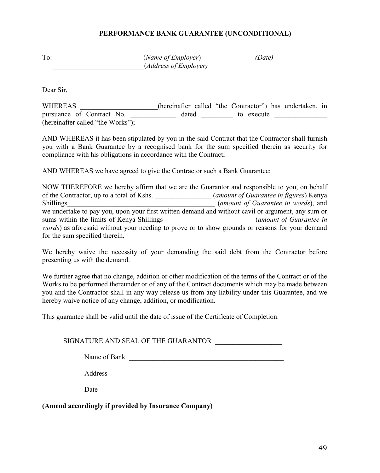### PERFORMANCE BANK GUARANTEE (UNCONDITIONAL)

To: \_\_\_\_\_\_\_\_\_\_\_\_\_\_\_\_\_\_\_\_\_(*Name of Employer*) *(Date)* \_\_\_\_\_\_\_\_\_\_\_\_\_\_\_\_\_\_\_\_\_\_\_\_\_\_(*Address of Employer)*

Dear Sir,

WHEREAS (hereinafter called "the Contractor") has undertaken, in pursuance of Contract No. \_\_\_\_\_\_\_\_\_\_\_\_\_ dated \_\_\_\_\_\_\_\_\_\_ to execute \_\_\_\_\_\_\_\_\_\_\_\_ (hereinafter called "the Works");

AND WHEREAS it has been stipulated by you in the said Contract that the Contractor shall furnish you with a Bank Guarantee by a recognised bank for the sum specified therein as security for compliance with his obligations in accordance with the Contract;

AND WHEREAS we have agreed to give the Contractor such a Bank Guarantee:

NOW THEREFORE we hereby affirm that we are the Guarantor and responsible to you, on behalf of the Contractor, up to a total of Kshs. \_\_\_\_\_\_\_\_\_\_\_\_\_\_\_\_ (*amount of Guarantee in figures*) Kenya (*amount of Guarantee in words*), and we undertake to pay you, upon your first written demand and without cavil or argument, any sum or sums within the limits of Kenya Shillings \_\_\_\_\_\_\_\_\_\_\_\_\_\_\_\_\_\_\_\_\_\_\_\_\_\_\_\_\_\_\_*(amount of Guarantee in words*) as aforesaid without your needing to prove or to show grounds or reasons for your demand for the sum specified therein.

We hereby waive the necessity of your demanding the said debt from the Contractor before presenting us with the demand.

We further agree that no change, addition or other modification of the terms of the Contract or of the Works to be performed thereunder or of any of the Contract documents which may be made between you and the Contractor shall in any way release us from any liability under this Guarantee, and we hereby waive notice of any change, addition, or modification.

This guarantee shall be valid until the date of issue of the Certificate of Completion.

SIGNATURE AND SEAL OF THE GUARANTOR

| Name of Bank |  |
|--------------|--|
|              |  |

Address \_\_\_\_\_\_\_\_\_\_\_\_\_\_\_\_\_\_\_\_\_\_\_\_\_\_\_\_\_\_\_\_\_\_\_\_\_\_\_\_\_\_\_\_\_\_\_\_

Date  $\qquad \qquad \qquad$ 

(Amend accordingly if provided by Insurance Company)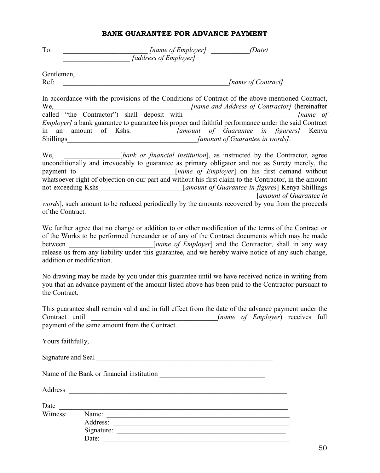### BANK GUARANTEE FOR ADVANCE PAYMENT

| To: | [name of Employer]    | (Date) |
|-----|-----------------------|--------|
|     | [address of Employer] |        |

Gentlemen, Ref: *\_\_\_\_\_\_\_\_\_\_\_\_\_\_\_\_\_\_\_\_\_\_\_\_\_\_\_\_\_\_\_\_\_\_\_\_\_\_\_\_\_\_\_\_\_\_\_[name of Contract]*

In accordance with the provisions of the Conditions of Contract of the above-mentioned Contract,<br> *Iname and Address of Contractorl* (hereinafter We,\_\_\_\_\_\_\_\_\_\_\_\_\_\_\_\_\_\_\_\_\_\_\_\_\_\_\_\_\_\_\_\_\_\_\_\_\_\_\_*[name and Address of Contractor]* (hereinafter called "the Contractor") shall deposit with \_\_\_\_\_\_\_\_\_\_\_\_\_\_\_\_\_\_\_\_\_\_\_\_\_\_\_\_\_\_\_*[name of Employer]* a bank guarantee to guarantee his proper and faithful performance under the said Contract in an amount of Kshs.<br>Shillings *[amount of Guarantee in figurers]* Kenya<br>*[amount of Guarantee in words]*. *Samount of Guarantee in words].* 

We, **with the contractor**  $[bank \ or \ financial \ institution]$ , as instructed by the Contractor, agree unconditionally and irrevocably to guarantee as primary obligator and not as Surety merely, the payment to \_\_\_\_\_\_\_\_\_\_\_\_\_\_\_\_\_\_\_\_\_\_\_\_\_\_\_[*name of Employer*] on his first demand without whatsoever right of objection on our part and without his first claim to the Contractor, in the amount not exceeding Kshs\_\_\_\_\_\_\_\_\_\_\_\_\_\_\_\_\_\_\_\_\_\_\_\_[*amount of Guarantee in figures*] Kenya Shillings \_\_\_\_\_\_\_\_\_\_\_\_\_\_\_\_\_\_\_\_\_\_\_\_\_\_\_\_\_\_\_\_\_\_\_\_\_\_\_\_\_\_\_\_\_\_\_\_\_\_\_\_\_\_\_\_\_\_\_\_\_[*amount of Guarantee in* 

*words*], such amount to be reduced periodically by the amounts recovered by you from the proceeds of the Contract.

We further agree that no change or addition to or other modification of the terms of the Contract or of the Works to be performed thereunder or of any of the Contract documents which may be made between \_\_\_\_\_\_\_\_\_\_\_\_\_\_\_\_\_\_\_\_\_\_\_\_[*name of Employer*] and the Contractor, shall in any way release us from any liability under this guarantee, and we hereby waive notice of any such change, addition or modification.

No drawing may be made by you under this guarantee until we have received notice in writing from you that an advance payment of the amount listed above has been paid to the Contractor pursuant to the Contract.

This guarantee shall remain valid and in full effect from the date of the advance payment under the Contract until \_\_\_\_\_\_\_\_\_\_\_\_\_\_\_\_\_\_\_\_\_\_\_\_\_\_\_\_\_\_\_\_\_\_\_\_(*name of Employer*) receives full payment of the same amount from the Contract.

> Address: \_\_\_\_\_\_\_\_\_\_\_\_\_\_\_\_\_\_\_\_\_\_\_\_\_\_\_\_\_\_\_\_\_\_\_\_\_\_\_\_\_\_\_\_\_\_\_\_\_\_ Signature: \_\_\_\_\_\_\_\_\_\_\_\_\_\_\_\_\_\_\_\_\_\_\_\_\_\_\_\_\_\_\_\_\_\_\_\_\_\_\_\_\_\_\_\_\_\_\_\_ Date:

Yours faithfully,

Signature and Seal \_\_\_\_\_\_\_\_\_\_\_\_\_\_\_\_\_\_\_\_\_\_\_\_\_\_\_\_\_\_\_\_\_\_\_\_\_\_\_\_\_\_\_\_\_\_\_\_\_\_

Name of the Bank or financial institution \_\_\_\_\_\_\_\_\_\_\_\_\_\_\_\_\_\_\_\_\_\_\_\_\_\_\_\_\_\_

Date \_\_\_\_\_\_\_\_\_\_\_\_\_\_\_\_\_\_\_\_\_\_\_\_\_\_\_\_\_\_\_\_\_\_\_\_\_\_\_\_\_\_\_\_\_\_\_\_\_\_\_\_\_\_\_\_\_\_\_\_\_\_\_\_\_

Witness: Name: \_\_\_\_\_\_\_\_\_\_\_\_\_\_\_\_\_\_\_\_\_\_\_\_\_\_\_\_\_\_\_\_\_\_\_\_\_\_\_\_\_\_\_\_\_\_\_\_\_\_\_\_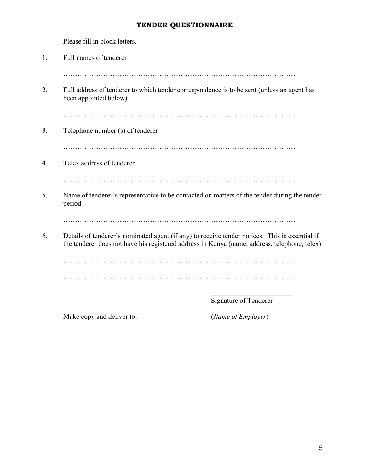### TENDER QUESTIONNAIRE

Please fill in block letters.

| Full names of tenderer           |                                                                                                                                                                                                |
|----------------------------------|------------------------------------------------------------------------------------------------------------------------------------------------------------------------------------------------|
| been appointed below)            | Full address of tenderer to which tender correspondence is to be sent (unless an agent has                                                                                                     |
| Telephone number (s) of tenderer |                                                                                                                                                                                                |
| Telex address of tenderer        |                                                                                                                                                                                                |
| period                           | Name of tenderer's representative to be contacted on matters of the tender during the tender                                                                                                   |
|                                  | Details of tenderer's nominated agent (if any) to receive tender notices. This is essential if<br>the tenderer does not have his registered address in Kenya (name, address, telephone, telex) |
|                                  |                                                                                                                                                                                                |
|                                  | Signature of Tenderer                                                                                                                                                                          |
| Make copy and deliver to:        | (Name of Employer)                                                                                                                                                                             |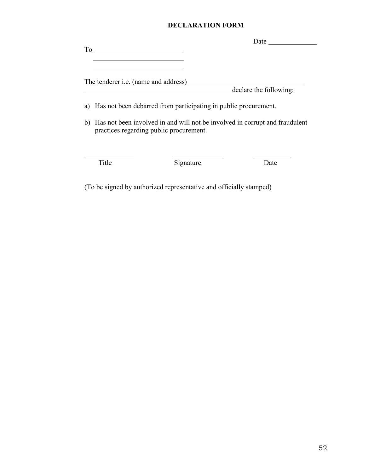### DECLARATION FORM

|    |                                                                                                                           |           | Date                   |
|----|---------------------------------------------------------------------------------------------------------------------------|-----------|------------------------|
| To |                                                                                                                           |           |                        |
|    |                                                                                                                           |           |                        |
|    |                                                                                                                           |           |                        |
|    | The tenderer <i>i.e.</i> (name and address)                                                                               |           |                        |
|    |                                                                                                                           |           | declare the following: |
|    |                                                                                                                           |           |                        |
| a) | Has not been debarred from participating in public procurement.                                                           |           |                        |
|    | b) Has not been involved in and will not be involved in corrupt and fraudulent<br>practices regarding public procurement. |           |                        |
|    |                                                                                                                           |           |                        |
|    |                                                                                                                           |           |                        |
|    | Title                                                                                                                     | Signature | Date                   |
|    |                                                                                                                           |           |                        |

(To be signed by authorized representative and officially stamped)

 $\overline{\phantom{0}}$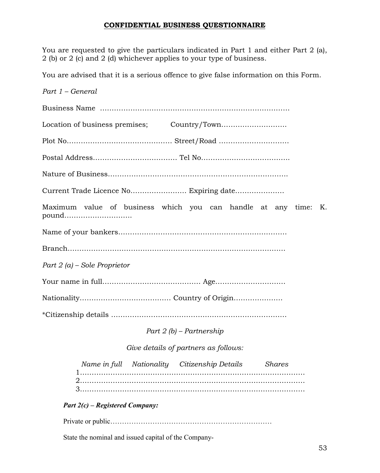### CONFIDENTIAL BUSINESS QUESTIONNAIRE

You are requested to give the particulars indicated in Part 1 and either Part 2 (a), 2 (b) or 2 (c) and 2 (d) whichever applies to your type of business.

You are advised that it is a serious offence to give false information on this Form.

| Part 1 - General                                                        |
|-------------------------------------------------------------------------|
|                                                                         |
|                                                                         |
|                                                                         |
|                                                                         |
|                                                                         |
|                                                                         |
| Maximum value of business which you can handle at any time: K.<br>pound |
|                                                                         |
|                                                                         |
| Part $2(a)$ – Sole Proprietor                                           |
|                                                                         |
|                                                                         |
|                                                                         |
| Part $2(b)$ – Partnership                                               |
| Give details of partners as follows:                                    |
| Name in full Nationality Citizenship Details<br><b>Shares</b>           |
| Part $2(c)$ – Registered Company:                                       |
|                                                                         |

State the nominal and issued capital of the Company-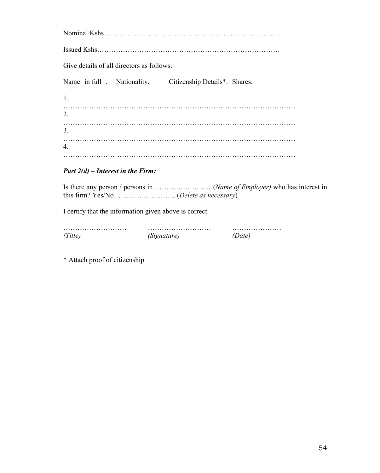| Give details of all directors as follows: |                                                                      |  |
|-------------------------------------------|----------------------------------------------------------------------|--|
|                                           | Name in full Nationality. Citizenship Details <sup>*</sup> . Shares. |  |
| 1.                                        |                                                                      |  |
| 2.                                        |                                                                      |  |
| 3.                                        |                                                                      |  |
| 4.                                        |                                                                      |  |
|                                           |                                                                      |  |

### *Part 2(d) – Interest in the Firm:*

Is there any person / persons in …………… ………(*Name of Employer)* who has interest in this firm? Yes/No………………………(*Delete as necessary*)

I certify that the information given above is correct.

| Nionature I<br><b>NUS</b> |  |
|---------------------------|--|

\* Attach proof of citizenship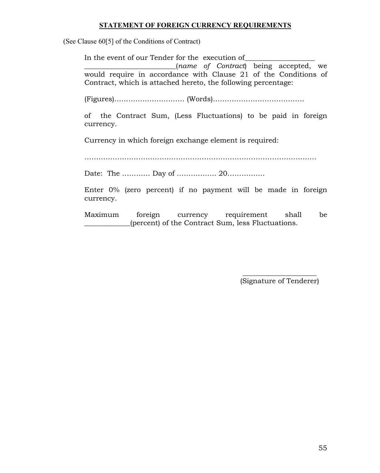### STATEMENT OF FOREIGN CURRENCY REQUIREMENTS

(See Clause 60[5] of the Conditions of Contract)

In the event of our Tender for the execution of \_\_\_\_\_\_\_\_\_\_\_\_\_\_\_\_\_\_\_\_\_\_\_\_\_\_(*name of Contract*) being accepted, we would require in accordance with Clause 21 of the Conditions of Contract, which is attached hereto, the following percentage:

(Figures)………………………… (Words)…………………………………

of the Contract Sum, (Less Fluctuations) to be paid in foreign currency.

Currency in which foreign exchange element is required:

………………………………………………………………………………………

Date: The ………… Day of …………….. 20…………….

Enter 0% (zero percent) if no payment will be made in foreign currency.

Maximum foreign currency requirement shall be (percent) of the Contract Sum, less Fluctuations.

> \_\_\_\_\_\_\_\_\_\_\_\_\_\_\_\_\_\_\_\_\_ (Signature of Tenderer)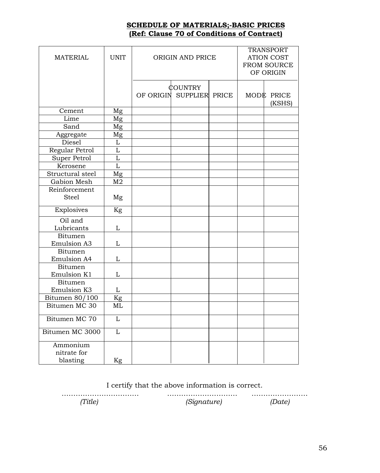### SCHEDULE OF MATERIALS;-BASIC PRICES (Ref: Clause 70 of Conditions of Contract)

| <b>MATERIAL</b>                      | <b>UNIT</b>    | ORIGIN AND PRICE |                                   |       | <b>TRANSPORT</b><br><b>ATION COST</b><br>FROM SOURCE<br>OF ORIGIN |                      |
|--------------------------------------|----------------|------------------|-----------------------------------|-------|-------------------------------------------------------------------|----------------------|
|                                      |                | OF ORIGIN        | <b>COUNTRY</b><br><b>SUPPLIER</b> | PRICE |                                                                   | MODE PRICE<br>(KSHS) |
| Cement                               | Mg             |                  |                                   |       |                                                                   |                      |
| Lime                                 | Mg             |                  |                                   |       |                                                                   |                      |
| Sand                                 | Mg             |                  |                                   |       |                                                                   |                      |
| Aggregate                            | Mg             |                  |                                   |       |                                                                   |                      |
| Diesel                               | L              |                  |                                   |       |                                                                   |                      |
| Regular Petrol                       | L              |                  |                                   |       |                                                                   |                      |
| Super Petrol                         | L              |                  |                                   |       |                                                                   |                      |
| Kerosene                             | L              |                  |                                   |       |                                                                   |                      |
| Structural steel                     | Mg             |                  |                                   |       |                                                                   |                      |
| Gabion Mesh                          | M <sub>2</sub> |                  |                                   |       |                                                                   |                      |
| Reinforcement                        |                |                  |                                   |       |                                                                   |                      |
| <b>Steel</b>                         | Mg             |                  |                                   |       |                                                                   |                      |
| Explosives                           | Kg             |                  |                                   |       |                                                                   |                      |
| Oil and<br>Lubricants                | L              |                  |                                   |       |                                                                   |                      |
| <b>Bitumen</b>                       |                |                  |                                   |       |                                                                   |                      |
| <b>Emulsion A3</b>                   | L              |                  |                                   |       |                                                                   |                      |
| <b>Bitumen</b><br><b>Emulsion A4</b> | L              |                  |                                   |       |                                                                   |                      |
| Bitumen                              |                |                  |                                   |       |                                                                   |                      |
| Emulsion K1                          | L              |                  |                                   |       |                                                                   |                      |
| <b>Bitumen</b>                       |                |                  |                                   |       |                                                                   |                      |
| Emulsion K3                          | L              |                  |                                   |       |                                                                   |                      |
| Bitumen 80/100                       | Kg             |                  |                                   |       |                                                                   |                      |
| Bitumen MC 30                        | ML             |                  |                                   |       |                                                                   |                      |
| Bitumen MC 70                        | L              |                  |                                   |       |                                                                   |                      |
| Bitumen MC 3000                      | L              |                  |                                   |       |                                                                   |                      |
| Ammonium                             |                |                  |                                   |       |                                                                   |                      |
| nitrate for                          |                |                  |                                   |       |                                                                   |                      |
| blasting                             | Kg             |                  |                                   |       |                                                                   |                      |

I certify that the above information is correct.

 $(Title)$   $(Signature)$   $(Date)$ *(Title) (Signature) (Date)*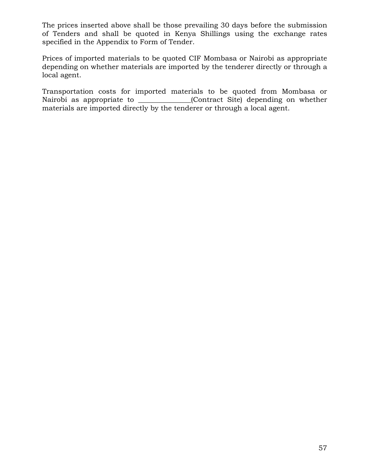The prices inserted above shall be those prevailing 30 days before the submission of Tenders and shall be quoted in Kenya Shillings using the exchange rates specified in the Appendix to Form of Tender.

Prices of imported materials to be quoted CIF Mombasa or Nairobi as appropriate depending on whether materials are imported by the tenderer directly or through a local agent.

Transportation costs for imported materials to be quoted from Mombasa or Nairobi as appropriate to \_\_\_\_\_\_\_\_\_\_\_\_\_\_(Contract Site) depending on whether materials are imported directly by the tenderer or through a local agent.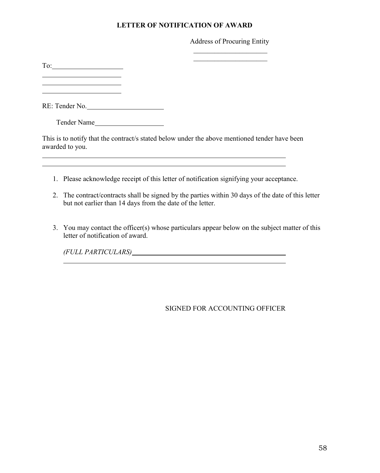### LETTER OF NOTIFICATION OF AWARD

### Address of Procuring Entity \_\_\_\_\_\_\_\_\_\_\_\_\_\_\_\_\_\_\_\_\_

 $\_$ 

To:

<u> 1990 - Johann Barbara, martin a</u> <u> 1990 - Johann Barbara, martin d</u>

RE: Tender No.

Tender Name

This is to notify that the contract/s stated below under the above mentioned tender have been awarded to you.

- 1. Please acknowledge receipt of this letter of notification signifying your acceptance.
- 2. The contract/contracts shall be signed by the parties within 30 days of the date of this letter but not earlier than 14 days from the date of the letter.
- 3. You may contact the officer(s) whose particulars appear below on the subject matter of this letter of notification of award.

*(FULL PARTICULARS)*

### SIGNED FOR ACCOUNTING OFFICER